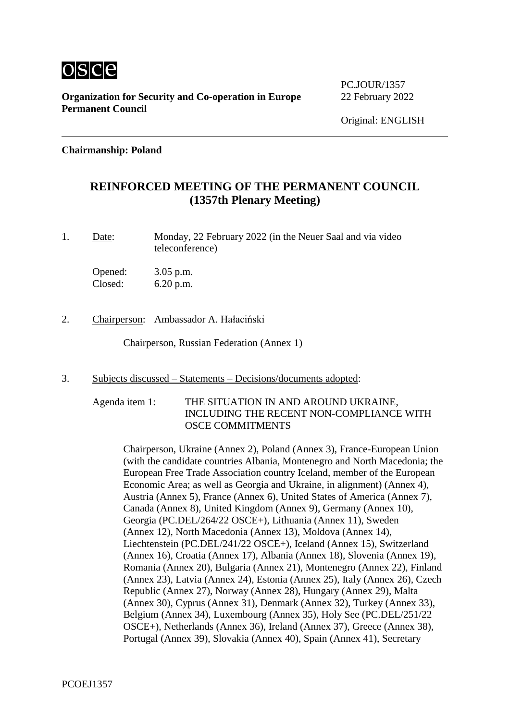

PC.JOUR/1357

#### **Chairmanship: Poland**

### **REINFORCED MEETING OF THE PERMANENT COUNCIL (1357th Plenary Meeting)**

1. Date: Monday, 22 February 2022 (in the Neuer Saal and via video teleconference)

Opened: 3.05 p.m. Closed: 6.20 p.m.

2. Chairperson: Ambassador A. Hałaciński

Chairperson, Russian Federation (Annex 1)

- 3. Subjects discussed Statements Decisions/documents adopted:
	- Agenda item 1: THE SITUATION IN AND AROUND UKRAINE, INCLUDING THE RECENT NON-COMPLIANCE WITH OSCE COMMITMENTS

Chairperson, Ukraine (Annex 2), Poland (Annex 3), France-European Union (with the candidate countries Albania, Montenegro and North Macedonia; the European Free Trade Association country Iceland, member of the European Economic Area; as well as Georgia and Ukraine, in alignment) (Annex 4), Austria (Annex 5), France (Annex 6), United States of America (Annex 7), Canada (Annex 8), United Kingdom (Annex 9), Germany (Annex 10), Georgia (PC.DEL/264/22 OSCE+), Lithuania (Annex 11), Sweden (Annex 12), North Macedonia (Annex 13), Moldova (Annex 14), Liechtenstein (PC.DEL/241/22 OSCE+), Iceland (Annex 15), Switzerland (Annex 16), Croatia (Annex 17), Albania (Annex 18), Slovenia (Annex 19), Romania (Annex 20), Bulgaria (Annex 21), Montenegro (Annex 22), Finland (Annex 23), Latvia (Annex 24), Estonia (Annex 25), Italy (Annex 26), Czech Republic (Annex 27), Norway (Annex 28), Hungary (Annex 29), Malta (Annex 30), Cyprus (Annex 31), Denmark (Annex 32), Turkey (Annex 33), Belgium (Annex 34), Luxembourg (Annex 35), Holy See (PC.DEL/251/22 OSCE+), Netherlands (Annex 36), Ireland (Annex 37), Greece (Annex 38), Portugal (Annex 39), Slovakia (Annex 40), Spain (Annex 41), Secretary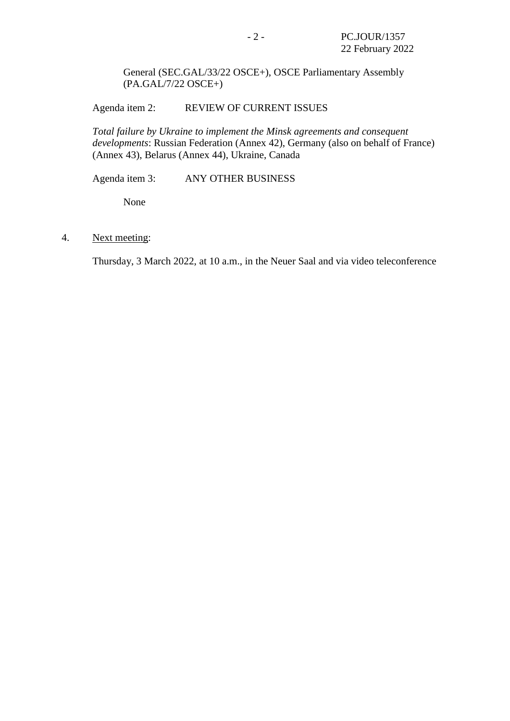General (SEC.GAL/33/22 OSCE+), OSCE Parliamentary Assembly (PA.GAL/7/22 OSCE+)

Agenda item 2: REVIEW OF CURRENT ISSUES

*Total failure by Ukraine to implement the Minsk agreements and consequent developments*: Russian Federation (Annex 42), Germany (also on behalf of France) (Annex 43), Belarus (Annex 44), Ukraine, Canada

Agenda item 3: ANY OTHER BUSINESS

None

4. Next meeting:

Thursday, 3 March 2022, at 10 a.m., in the Neuer Saal and via video teleconference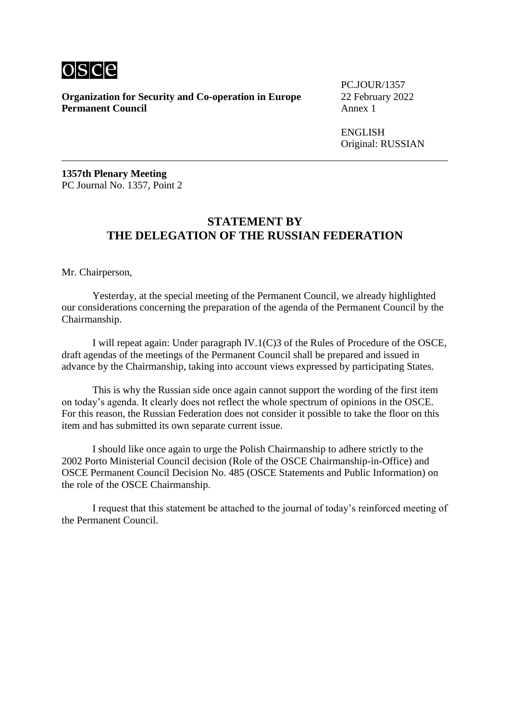

PC.JOUR/1357

ENGLISH Original: RUSSIAN

**1357th Plenary Meeting** PC Journal No. 1357, Point 2

#### **STATEMENT BY THE DELEGATION OF THE RUSSIAN FEDERATION**

Mr. Chairperson,

Yesterday, at the special meeting of the Permanent Council, we already highlighted our considerations concerning the preparation of the agenda of the Permanent Council by the Chairmanship.

I will repeat again: Under paragraph IV.1(C)3 of the Rules of Procedure of the OSCE, draft agendas of the meetings of the Permanent Council shall be prepared and issued in advance by the Chairmanship, taking into account views expressed by participating States.

This is why the Russian side once again cannot support the wording of the first item on today's agenda. It clearly does not reflect the whole spectrum of opinions in the OSCE. For this reason, the Russian Federation does not consider it possible to take the floor on this item and has submitted its own separate current issue.

I should like once again to urge the Polish Chairmanship to adhere strictly to the 2002 Porto Ministerial Council decision (Role of the OSCE Chairmanship-in-Office) and OSCE Permanent Council Decision No. 485 (OSCE Statements and Public Information) on the role of the OSCE Chairmanship.

I request that this statement be attached to the journal of today's reinforced meeting of the Permanent Council.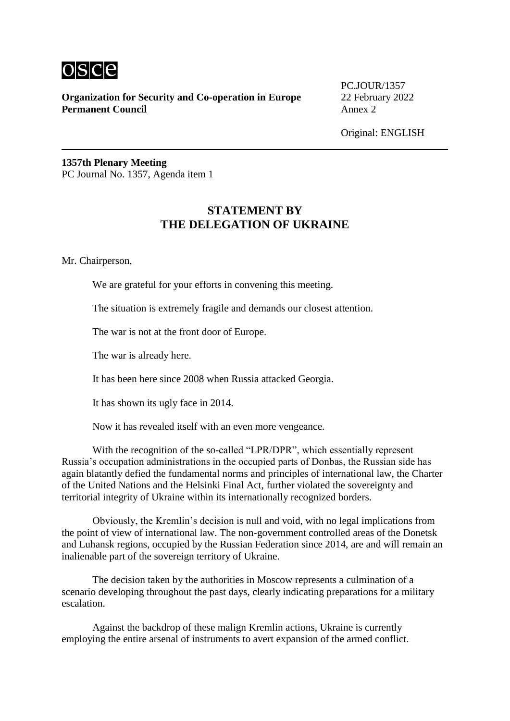

PC.JOUR/1357

Original: ENGLISH

**1357th Plenary Meeting** PC Journal No. 1357, Agenda item 1

### **STATEMENT BY THE DELEGATION OF UKRAINE**

Mr. Chairperson,

We are grateful for your efforts in convening this meeting.

The situation is extremely fragile and demands our closest attention.

The war is not at the front door of Europe.

The war is already here.

It has been here since 2008 when Russia attacked Georgia.

It has shown its ugly face in 2014.

Now it has revealed itself with an even more vengeance.

With the recognition of the so-called "LPR/DPR", which essentially represent Russia's occupation administrations in the occupied parts of Donbas, the Russian side has again blatantly defied the fundamental norms and principles of international law, the Charter of the United Nations and the Helsinki Final Act, further violated the sovereignty and territorial integrity of Ukraine within its internationally recognized borders.

Obviously, the Kremlin's decision is null and void, with no legal implications from the point of view of international law. The non-government controlled areas of the Donetsk and Luhansk regions, occupied by the Russian Federation since 2014, are and will remain an inalienable part of the sovereign territory of Ukraine.

The decision taken by the authorities in Moscow represents a culmination of a scenario developing throughout the past days, clearly indicating preparations for a military escalation.

Against the backdrop of these malign Kremlin actions, Ukraine is currently employing the entire arsenal of instruments to avert expansion of the armed conflict.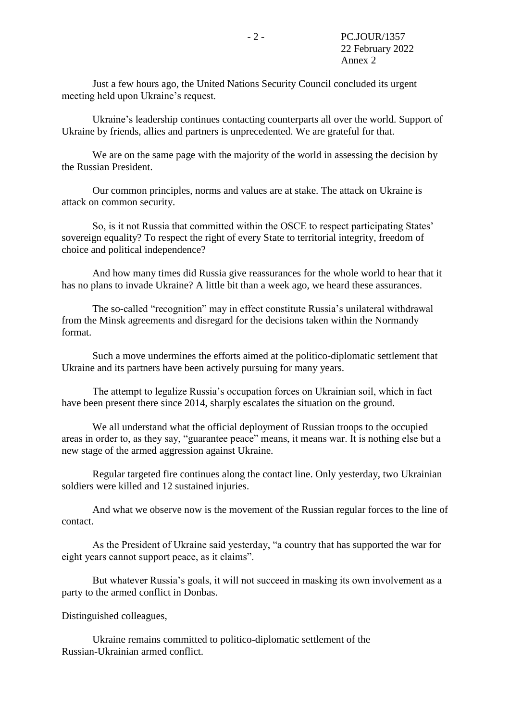Just a few hours ago, the United Nations Security Council concluded its urgent meeting held upon Ukraine's request.

Ukraine's leadership continues contacting counterparts all over the world. Support of Ukraine by friends, allies and partners is unprecedented. We are grateful for that.

We are on the same page with the majority of the world in assessing the decision by the Russian President.

Our common principles, norms and values are at stake. The attack on Ukraine is attack on common security.

So, is it not Russia that committed within the OSCE to respect participating States' sovereign equality? To respect the right of every State to territorial integrity, freedom of choice and political independence?

And how many times did Russia give reassurances for the whole world to hear that it has no plans to invade Ukraine? A little bit than a week ago, we heard these assurances.

The so-called "recognition" may in effect constitute Russia's unilateral withdrawal from the Minsk agreements and disregard for the decisions taken within the Normandy format.

Such a move undermines the efforts aimed at the politico-diplomatic settlement that Ukraine and its partners have been actively pursuing for many years.

The attempt to legalize Russia's occupation forces on Ukrainian soil, which in fact have been present there since 2014, sharply escalates the situation on the ground.

We all understand what the official deployment of Russian troops to the occupied areas in order to, as they say, "guarantee peace" means, it means war. It is nothing else but a new stage of the armed aggression against Ukraine.

Regular targeted fire continues along the contact line. Only yesterday, two Ukrainian soldiers were killed and 12 sustained injuries.

And what we observe now is the movement of the Russian regular forces to the line of contact.

As the President of Ukraine said yesterday, "a country that has supported the war for eight years cannot support peace, as it claims".

But whatever Russia's goals, it will not succeed in masking its own involvement as a party to the armed conflict in Donbas.

Distinguished colleagues,

Ukraine remains committed to politico-diplomatic settlement of the Russian-Ukrainian armed conflict.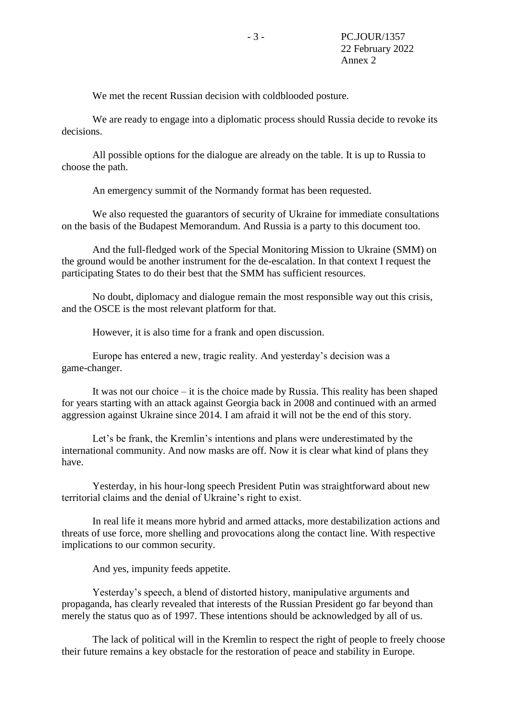We met the recent Russian decision with coldblooded posture.

We are ready to engage into a diplomatic process should Russia decide to revoke its decisions.

All possible options for the dialogue are already on the table. It is up to Russia to choose the path.

An emergency summit of the Normandy format has been requested.

We also requested the guarantors of security of Ukraine for immediate consultations on the basis of the Budapest Memorandum. And Russia is a party to this document too.

And the full-fledged work of the Special Monitoring Mission to Ukraine (SMM) on the ground would be another instrument for the de-escalation. In that context I request the participating States to do their best that the SMM has sufficient resources.

No doubt, diplomacy and dialogue remain the most responsible way out this crisis, and the OSCE is the most relevant platform for that.

However, it is also time for a frank and open discussion.

Europe has entered a new, tragic reality. And yesterday's decision was a game-changer.

It was not our choice – it is the choice made by Russia. This reality has been shaped for years starting with an attack against Georgia back in 2008 and continued with an armed aggression against Ukraine since 2014. I am afraid it will not be the end of this story.

Let's be frank, the Kremlin's intentions and plans were underestimated by the international community. And now masks are off. Now it is clear what kind of plans they have.

Yesterday, in his hour-long speech President Putin was straightforward about new territorial claims and the denial of Ukraine's right to exist.

In real life it means more hybrid and armed attacks, more destabilization actions and threats of use force, more shelling and provocations along the contact line. With respective implications to our common security.

And yes, impunity feeds appetite.

Yesterday's speech, a blend of distorted history, manipulative arguments and propaganda, has clearly revealed that interests of the Russian President go far beyond than merely the status quo as of 1997. These intentions should be acknowledged by all of us.

The lack of political will in the Kremlin to respect the right of people to freely choose their future remains a key obstacle for the restoration of peace and stability in Europe.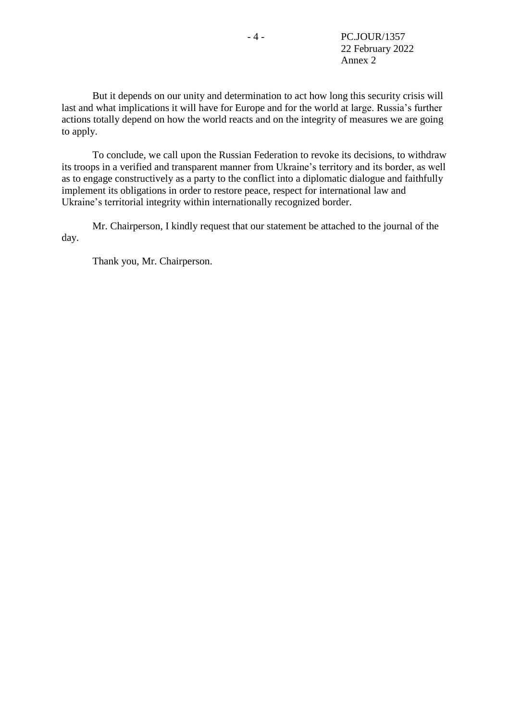But it depends on our unity and determination to act how long this security crisis will last and what implications it will have for Europe and for the world at large. Russia's further actions totally depend on how the world reacts and on the integrity of measures we are going to apply.

To conclude, we call upon the Russian Federation to revoke its decisions, to withdraw its troops in a verified and transparent manner from Ukraine's territory and its border, as well as to engage constructively as a party to the conflict into a diplomatic dialogue and faithfully implement its obligations in order to restore peace, respect for international law and Ukraine's territorial integrity within internationally recognized border.

Mr. Chairperson, I kindly request that our statement be attached to the journal of the day.

Thank you, Mr. Chairperson.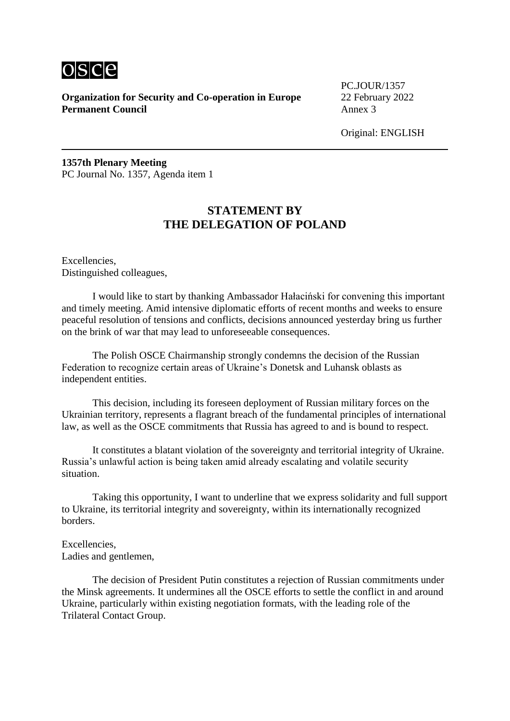

PC.JOUR/1357

Original: ENGLISH

**1357th Plenary Meeting** PC Journal No. 1357, Agenda item 1

#### **STATEMENT BY THE DELEGATION OF POLAND**

Excellencies, Distinguished colleagues,

I would like to start by thanking Ambassador Hałaciński for convening this important and timely meeting. Amid intensive diplomatic efforts of recent months and weeks to ensure peaceful resolution of tensions and conflicts, decisions announced yesterday bring us further on the brink of war that may lead to unforeseeable consequences.

The Polish OSCE Chairmanship strongly condemns the decision of the Russian Federation to recognize certain areas of Ukraine's Donetsk and Luhansk oblasts as independent entities.

This decision, including its foreseen deployment of Russian military forces on the Ukrainian territory, represents a flagrant breach of the fundamental principles of international law, as well as the OSCE commitments that Russia has agreed to and is bound to respect.

It constitutes a blatant violation of the sovereignty and territorial integrity of Ukraine. Russia's unlawful action is being taken amid already escalating and volatile security situation.

Taking this opportunity, I want to underline that we express solidarity and full support to Ukraine, its territorial integrity and sovereignty, within its internationally recognized borders.

Excellencies, Ladies and gentlemen,

The decision of President Putin constitutes a rejection of Russian commitments under the Minsk agreements. It undermines all the OSCE efforts to settle the conflict in and around Ukraine, particularly within existing negotiation formats, with the leading role of the Trilateral Contact Group.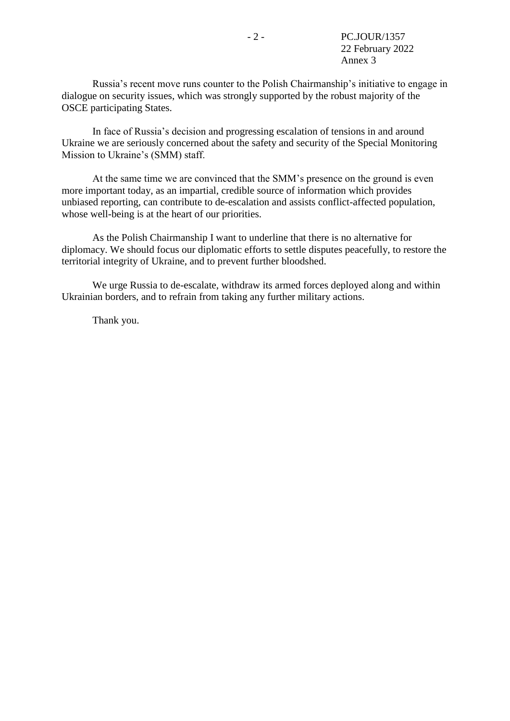Russia's recent move runs counter to the Polish Chairmanship's initiative to engage in dialogue on security issues, which was strongly supported by the robust majority of the OSCE participating States.

In face of Russia's decision and progressing escalation of tensions in and around Ukraine we are seriously concerned about the safety and security of the Special Monitoring Mission to Ukraine's (SMM) staff.

At the same time we are convinced that the SMM's presence on the ground is even more important today, as an impartial, credible source of information which provides unbiased reporting, can contribute to de-escalation and assists conflict-affected population, whose well-being is at the heart of our priorities.

As the Polish Chairmanship I want to underline that there is no alternative for diplomacy. We should focus our diplomatic efforts to settle disputes peacefully, to restore the territorial integrity of Ukraine, and to prevent further bloodshed.

We urge Russia to de-escalate, withdraw its armed forces deployed along and within Ukrainian borders, and to refrain from taking any further military actions.

Thank you.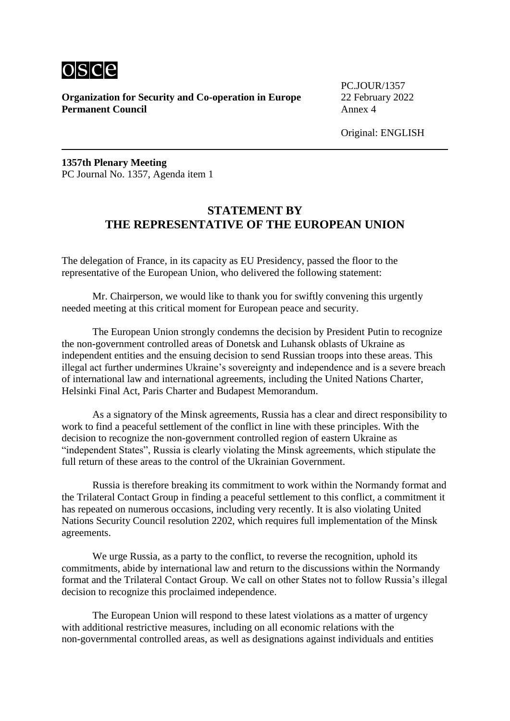

PC.JOUR/1357

Original: ENGLISH

**1357th Plenary Meeting** PC Journal No. 1357, Agenda item 1

#### **STATEMENT BY THE REPRESENTATIVE OF THE EUROPEAN UNION**

The delegation of France, in its capacity as EU Presidency, passed the floor to the representative of the European Union, who delivered the following statement:

Mr. Chairperson, we would like to thank you for swiftly convening this urgently needed meeting at this critical moment for European peace and security.

The European Union strongly condemns the decision by President Putin to recognize the non-government controlled areas of Donetsk and Luhansk oblasts of Ukraine as independent entities and the ensuing decision to send Russian troops into these areas. This illegal act further undermines Ukraine's sovereignty and independence and is a severe breach of international law and international agreements, including the United Nations Charter, Helsinki Final Act, Paris Charter and Budapest Memorandum.

As a signatory of the Minsk agreements, Russia has a clear and direct responsibility to work to find a peaceful settlement of the conflict in line with these principles. With the decision to recognize the non-government controlled region of eastern Ukraine as "independent States", Russia is clearly violating the Minsk agreements, which stipulate the full return of these areas to the control of the Ukrainian Government.

Russia is therefore breaking its commitment to work within the Normandy format and the Trilateral Contact Group in finding a peaceful settlement to this conflict, a commitment it has repeated on numerous occasions, including very recently. It is also violating United Nations Security Council resolution 2202, which requires full implementation of the Minsk agreements.

We urge Russia, as a party to the conflict, to reverse the recognition, uphold its commitments, abide by international law and return to the discussions within the Normandy format and the Trilateral Contact Group. We call on other States not to follow Russia's illegal decision to recognize this proclaimed independence.

The European Union will respond to these latest violations as a matter of urgency with additional restrictive measures, including on all economic relations with the non-governmental controlled areas, as well as designations against individuals and entities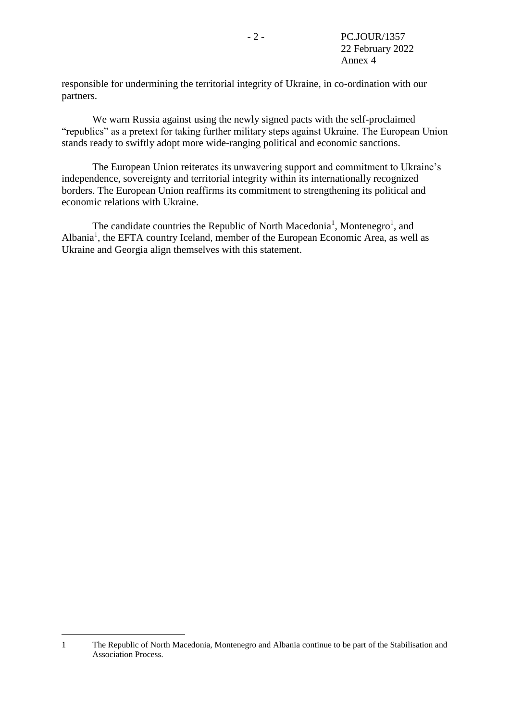responsible for undermining the territorial integrity of Ukraine, in co-ordination with our partners.

We warn Russia against using the newly signed pacts with the self-proclaimed "republics" as a pretext for taking further military steps against Ukraine. The European Union stands ready to swiftly adopt more wide-ranging political and economic sanctions.

The European Union reiterates its unwavering support and commitment to Ukraine's independence, sovereignty and territorial integrity within its internationally recognized borders. The European Union reaffirms its commitment to strengthening its political and economic relations with Ukraine.

<span id="page-10-0"></span>The candidate countries the Republic of North Macedonia<sup>[1](#page-10-0)</sup>, Montenegro<sup>1</sup>, and Albania<sup>[1](#page-10-0)</sup>, the EFTA country Iceland, member of the European Economic Area, as well as Ukraine and Georgia align themselves with this statement.

1

<sup>1</sup> The Republic of North Macedonia, Montenegro and Albania continue to be part of the Stabilisation and Association Process.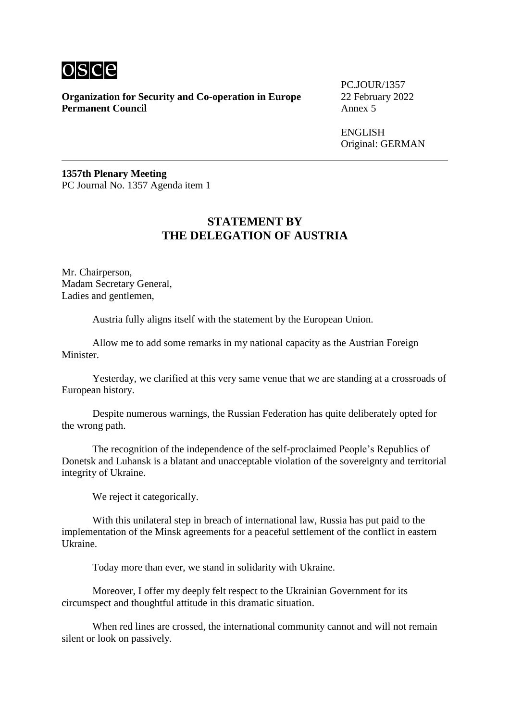

**Organization for Security and Co-operation in Europe** 22 February 2022<br>**Permanent Council** Annex 5 **Permanent Council** 

PC.JOUR/1357

**ENGLISH** Original: GERMAN

**1357th Plenary Meeting** PC Journal No. 1357 Agenda item 1

#### **STATEMENT BY THE DELEGATION OF AUSTRIA**

Mr. Chairperson, Madam Secretary General, Ladies and gentlemen,

Austria fully aligns itself with the statement by the European Union.

Allow me to add some remarks in my national capacity as the Austrian Foreign Minister.

Yesterday, we clarified at this very same venue that we are standing at a crossroads of European history.

Despite numerous warnings, the Russian Federation has quite deliberately opted for the wrong path.

The recognition of the independence of the self-proclaimed People's Republics of Donetsk and Luhansk is a blatant and unacceptable violation of the sovereignty and territorial integrity of Ukraine.

We reject it categorically.

With this unilateral step in breach of international law. Russia has put paid to the implementation of the Minsk agreements for a peaceful settlement of the conflict in eastern Ukraine.

Today more than ever, we stand in solidarity with Ukraine.

Moreover, I offer my deeply felt respect to the Ukrainian Government for its circumspect and thoughtful attitude in this dramatic situation.

When red lines are crossed, the international community cannot and will not remain silent or look on passively.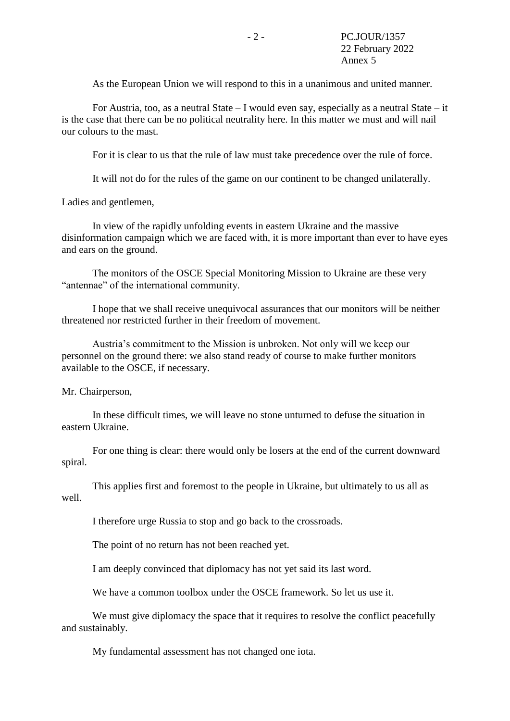As the European Union we will respond to this in a unanimous and united manner.

For Austria, too, as a neutral State – I would even say, especially as a neutral State – it is the case that there can be no political neutrality here. In this matter we must and will nail our colours to the mast.

For it is clear to us that the rule of law must take precedence over the rule of force.

It will not do for the rules of the game on our continent to be changed unilaterally.

Ladies and gentlemen,

In view of the rapidly unfolding events in eastern Ukraine and the massive disinformation campaign which we are faced with, it is more important than ever to have eyes and ears on the ground.

The monitors of the OSCE Special Monitoring Mission to Ukraine are these very "antennae" of the international community.

I hope that we shall receive unequivocal assurances that our monitors will be neither threatened nor restricted further in their freedom of movement.

Austria's commitment to the Mission is unbroken. Not only will we keep our personnel on the ground there: we also stand ready of course to make further monitors available to the OSCE, if necessary.

Mr. Chairperson,

In these difficult times, we will leave no stone unturned to defuse the situation in eastern Ukraine.

For one thing is clear: there would only be losers at the end of the current downward spiral.

This applies first and foremost to the people in Ukraine, but ultimately to us all as well.

I therefore urge Russia to stop and go back to the crossroads.

The point of no return has not been reached yet.

I am deeply convinced that diplomacy has not yet said its last word.

We have a common toolbox under the OSCE framework. So let us use it.

We must give diplomacy the space that it requires to resolve the conflict peacefully and sustainably.

My fundamental assessment has not changed one iota.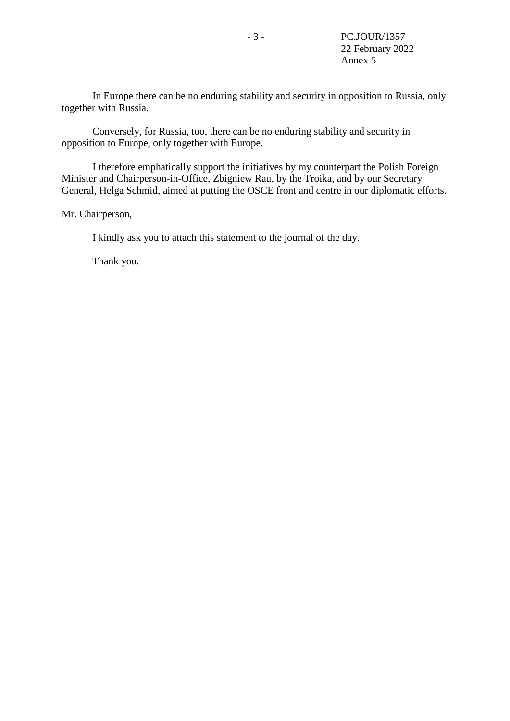In Europe there can be no enduring stability and security in opposition to Russia, only together with Russia.

Conversely, for Russia, too, there can be no enduring stability and security in opposition to Europe, only together with Europe.

I therefore emphatically support the initiatives by my counterpart the Polish Foreign Minister and Chairperson-in-Office, Zbigniew Rau, by the Troika, and by our Secretary General, Helga Schmid, aimed at putting the OSCE front and centre in our diplomatic efforts.

Mr. Chairperson,

I kindly ask you to attach this statement to the journal of the day.

Thank you.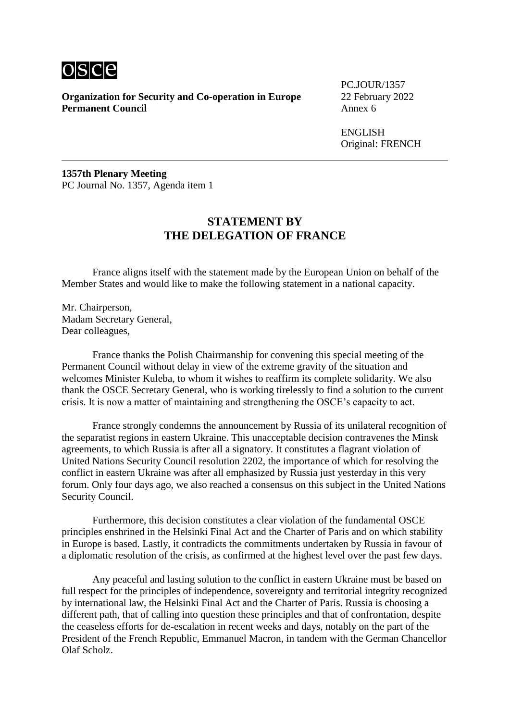

PC.JOUR/1357

**ENGLISH** Original: FRENCH

**1357th Plenary Meeting** PC Journal No. 1357, Agenda item 1

#### **STATEMENT BY THE DELEGATION OF FRANCE**

France aligns itself with the statement made by the European Union on behalf of the Member States and would like to make the following statement in a national capacity.

Mr. Chairperson, Madam Secretary General, Dear colleagues,

France thanks the Polish Chairmanship for convening this special meeting of the Permanent Council without delay in view of the extreme gravity of the situation and welcomes Minister Kuleba, to whom it wishes to reaffirm its complete solidarity. We also thank the OSCE Secretary General, who is working tirelessly to find a solution to the current crisis. It is now a matter of maintaining and strengthening the OSCE's capacity to act.

France strongly condemns the announcement by Russia of its unilateral recognition of the separatist regions in eastern Ukraine. This unacceptable decision contravenes the Minsk agreements, to which Russia is after all a signatory. It constitutes a flagrant violation of United Nations Security Council resolution 2202, the importance of which for resolving the conflict in eastern Ukraine was after all emphasized by Russia just yesterday in this very forum. Only four days ago, we also reached a consensus on this subject in the United Nations Security Council.

Furthermore, this decision constitutes a clear violation of the fundamental OSCE principles enshrined in the Helsinki Final Act and the Charter of Paris and on which stability in Europe is based. Lastly, it contradicts the commitments undertaken by Russia in favour of a diplomatic resolution of the crisis, as confirmed at the highest level over the past few days.

Any peaceful and lasting solution to the conflict in eastern Ukraine must be based on full respect for the principles of independence, sovereignty and territorial integrity recognized by international law, the Helsinki Final Act and the Charter of Paris. Russia is choosing a different path, that of calling into question these principles and that of confrontation, despite the ceaseless efforts for de-escalation in recent weeks and days, notably on the part of the President of the French Republic, Emmanuel Macron, in tandem with the German Chancellor Olaf Scholz.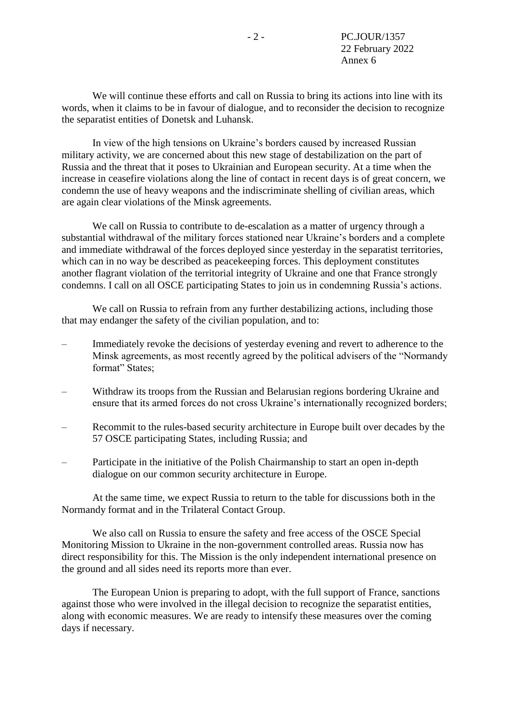We will continue these efforts and call on Russia to bring its actions into line with its words, when it claims to be in favour of dialogue, and to reconsider the decision to recognize the separatist entities of Donetsk and Luhansk.

In view of the high tensions on Ukraine's borders caused by increased Russian military activity, we are concerned about this new stage of destabilization on the part of Russia and the threat that it poses to Ukrainian and European security. At a time when the increase in ceasefire violations along the line of contact in recent days is of great concern, we condemn the use of heavy weapons and the indiscriminate shelling of civilian areas, which are again clear violations of the Minsk agreements.

We call on Russia to contribute to de-escalation as a matter of urgency through a substantial withdrawal of the military forces stationed near Ukraine's borders and a complete and immediate withdrawal of the forces deployed since yesterday in the separatist territories, which can in no way be described as peacekeeping forces. This deployment constitutes another flagrant violation of the territorial integrity of Ukraine and one that France strongly condemns. I call on all OSCE participating States to join us in condemning Russia's actions.

We call on Russia to refrain from any further destabilizing actions, including those that may endanger the safety of the civilian population, and to:

- Immediately revoke the decisions of yesterday evening and revert to adherence to the Minsk agreements, as most recently agreed by the political advisers of the "Normandy format" States;
- Withdraw its troops from the Russian and Belarusian regions bordering Ukraine and ensure that its armed forces do not cross Ukraine's internationally recognized borders;
- Recommit to the rules-based security architecture in Europe built over decades by the 57 OSCE participating States, including Russia; and
- Participate in the initiative of the Polish Chairmanship to start an open in-depth dialogue on our common security architecture in Europe.

At the same time, we expect Russia to return to the table for discussions both in the Normandy format and in the Trilateral Contact Group.

We also call on Russia to ensure the safety and free access of the OSCE Special Monitoring Mission to Ukraine in the non-government controlled areas. Russia now has direct responsibility for this. The Mission is the only independent international presence on the ground and all sides need its reports more than ever.

The European Union is preparing to adopt, with the full support of France, sanctions against those who were involved in the illegal decision to recognize the separatist entities, along with economic measures. We are ready to intensify these measures over the coming days if necessary.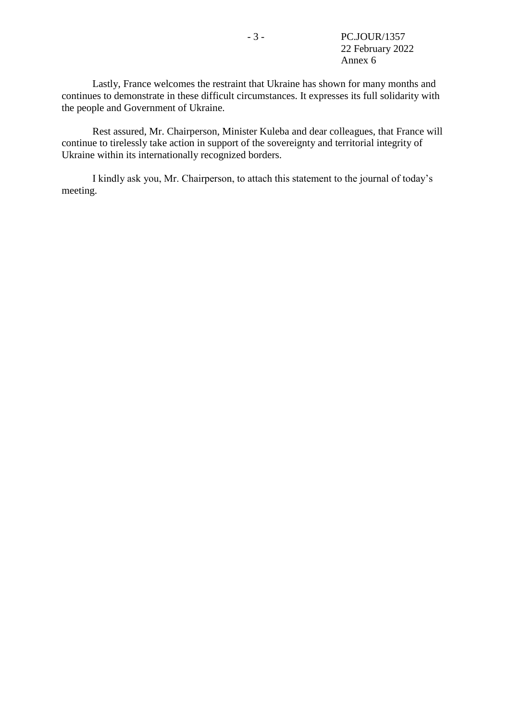Lastly, France welcomes the restraint that Ukraine has shown for many months and continues to demonstrate in these difficult circumstances. It expresses its full solidarity with the people and Government of Ukraine.

Rest assured, Mr. Chairperson, Minister Kuleba and dear colleagues, that France will continue to tirelessly take action in support of the sovereignty and territorial integrity of Ukraine within its internationally recognized borders.

I kindly ask you, Mr. Chairperson, to attach this statement to the journal of today's meeting.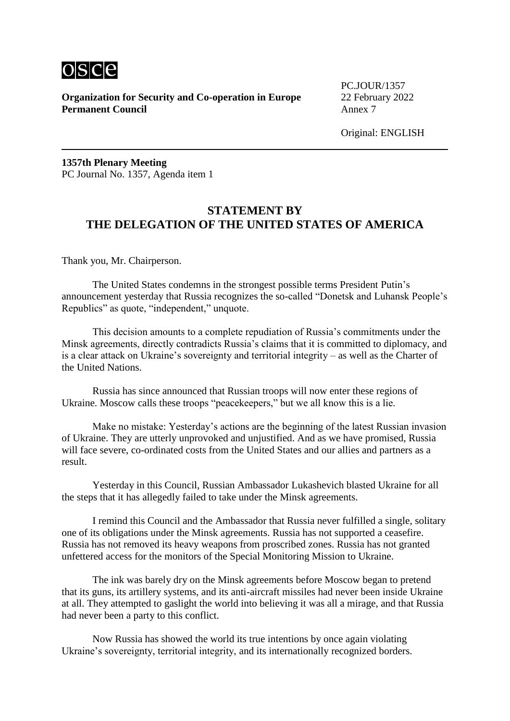

PC.JOUR/1357

Original: ENGLISH

**1357th Plenary Meeting** PC Journal No. 1357, Agenda item 1

#### **STATEMENT BY THE DELEGATION OF THE UNITED STATES OF AMERICA**

Thank you, Mr. Chairperson.

The United States condemns in the strongest possible terms President Putin's announcement yesterday that Russia recognizes the so-called "Donetsk and Luhansk People's Republics" as quote, "independent," unquote.

This decision amounts to a complete repudiation of Russia's commitments under the Minsk agreements, directly contradicts Russia's claims that it is committed to diplomacy, and is a clear attack on Ukraine's sovereignty and territorial integrity – as well as the Charter of the United Nations.

Russia has since announced that Russian troops will now enter these regions of Ukraine. Moscow calls these troops "peacekeepers," but we all know this is a lie.

Make no mistake: Yesterday's actions are the beginning of the latest Russian invasion of Ukraine. They are utterly unprovoked and unjustified. And as we have promised, Russia will face severe, co-ordinated costs from the United States and our allies and partners as a result.

Yesterday in this Council, Russian Ambassador Lukashevich blasted Ukraine for all the steps that it has allegedly failed to take under the Minsk agreements.

I remind this Council and the Ambassador that Russia never fulfilled a single, solitary one of its obligations under the Minsk agreements. Russia has not supported a ceasefire. Russia has not removed its heavy weapons from proscribed zones. Russia has not granted unfettered access for the monitors of the Special Monitoring Mission to Ukraine.

The ink was barely dry on the Minsk agreements before Moscow began to pretend that its guns, its artillery systems, and its anti-aircraft missiles had never been inside Ukraine at all. They attempted to gaslight the world into believing it was all a mirage, and that Russia had never been a party to this conflict.

Now Russia has showed the world its true intentions by once again violating Ukraine's sovereignty, territorial integrity, and its internationally recognized borders.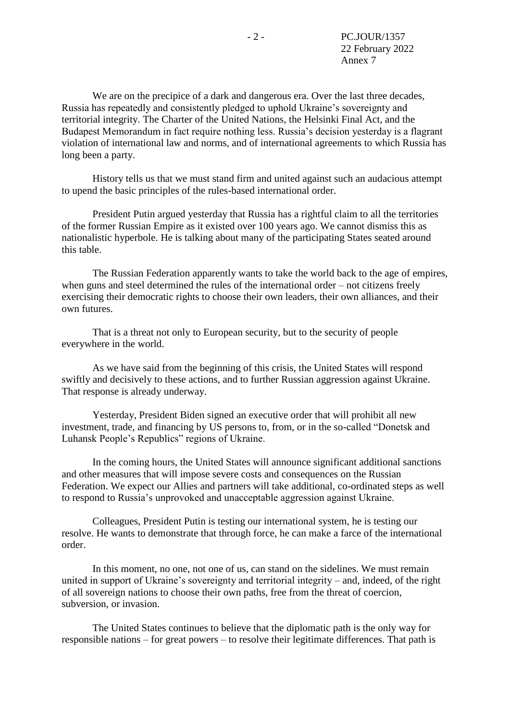We are on the precipice of a dark and dangerous era. Over the last three decades, Russia has repeatedly and consistently pledged to uphold Ukraine's sovereignty and territorial integrity. The Charter of the United Nations, the Helsinki Final Act, and the Budapest Memorandum in fact require nothing less. Russia's decision yesterday is a flagrant violation of international law and norms, and of international agreements to which Russia has long been a party.

History tells us that we must stand firm and united against such an audacious attempt to upend the basic principles of the rules-based international order.

President Putin argued yesterday that Russia has a rightful claim to all the territories of the former Russian Empire as it existed over 100 years ago. We cannot dismiss this as nationalistic hyperbole. He is talking about many of the participating States seated around this table.

The Russian Federation apparently wants to take the world back to the age of empires, when guns and steel determined the rules of the international order – not citizens freely exercising their democratic rights to choose their own leaders, their own alliances, and their own futures.

That is a threat not only to European security, but to the security of people everywhere in the world.

As we have said from the beginning of this crisis, the United States will respond swiftly and decisively to these actions, and to further Russian aggression against Ukraine. That response is already underway.

Yesterday, President Biden signed an executive order that will prohibit all new investment, trade, and financing by US persons to, from, or in the so-called "Donetsk and Luhansk People's Republics" regions of Ukraine.

In the coming hours, the United States will announce significant additional sanctions and other measures that will impose severe costs and consequences on the Russian Federation. We expect our Allies and partners will take additional, co-ordinated steps as well to respond to Russia's unprovoked and unacceptable aggression against Ukraine.

Colleagues, President Putin is testing our international system, he is testing our resolve. He wants to demonstrate that through force, he can make a farce of the international order.

In this moment, no one, not one of us, can stand on the sidelines. We must remain united in support of Ukraine's sovereignty and territorial integrity – and, indeed, of the right of all sovereign nations to choose their own paths, free from the threat of coercion, subversion, or invasion.

The United States continues to believe that the diplomatic path is the only way for responsible nations – for great powers – to resolve their legitimate differences. That path is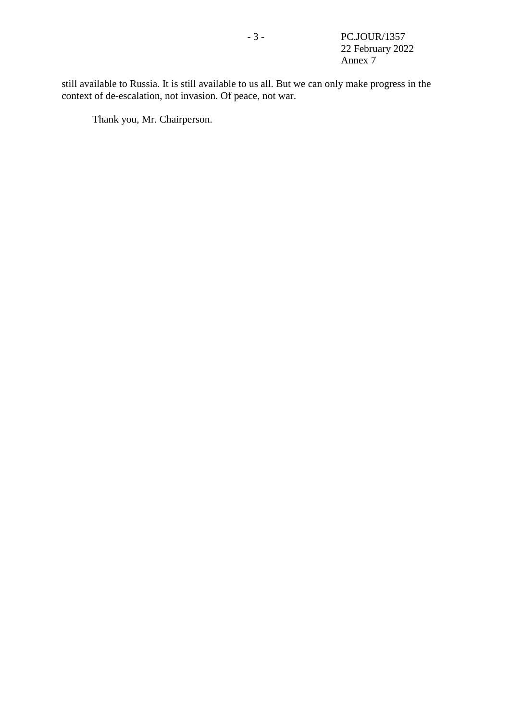still available to Russia. It is still available to us all. But we can only make progress in the context of de-escalation, not invasion. Of peace, not war.

Thank you, Mr. Chairperson.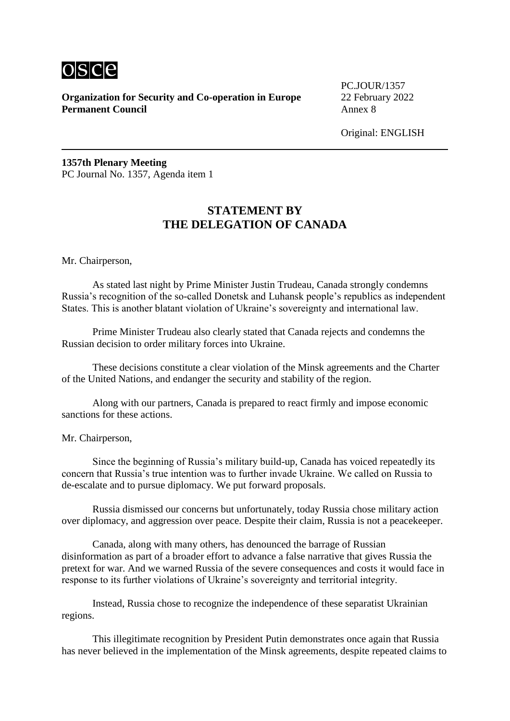

PC.JOUR/1357

Original: ENGLISH

**1357th Plenary Meeting** PC Journal No. 1357, Agenda item 1

#### **STATEMENT BY THE DELEGATION OF CANADA**

Mr. Chairperson,

As stated last night by Prime Minister Justin Trudeau, Canada strongly condemns Russia's recognition of the so-called Donetsk and Luhansk people's republics as independent States. This is another blatant violation of Ukraine's sovereignty and international law.

Prime Minister Trudeau also clearly stated that Canada rejects and condemns the Russian decision to order military forces into Ukraine.

These decisions constitute a clear violation of the Minsk agreements and the Charter of the United Nations, and endanger the security and stability of the region.

Along with our partners, Canada is prepared to react firmly and impose economic sanctions for these actions.

Mr. Chairperson,

Since the beginning of Russia's military build-up, Canada has voiced repeatedly its concern that Russia's true intention was to further invade Ukraine. We called on Russia to de-escalate and to pursue diplomacy. We put forward proposals.

Russia dismissed our concerns but unfortunately, today Russia chose military action over diplomacy, and aggression over peace. Despite their claim, Russia is not a peacekeeper.

Canada, along with many others, has denounced the barrage of Russian disinformation as part of a broader effort to advance a false narrative that gives Russia the pretext for war. And we warned Russia of the severe consequences and costs it would face in response to its further violations of Ukraine's sovereignty and territorial integrity.

Instead, Russia chose to recognize the independence of these separatist Ukrainian regions.

This illegitimate recognition by President Putin demonstrates once again that Russia has never believed in the implementation of the Minsk agreements, despite repeated claims to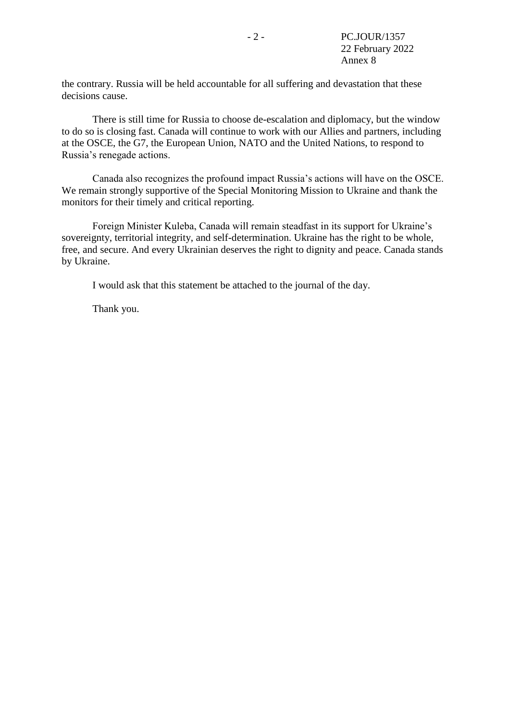the contrary. Russia will be held accountable for all suffering and devastation that these decisions cause.

There is still time for Russia to choose de-escalation and diplomacy, but the window to do so is closing fast. Canada will continue to work with our Allies and partners, including at the OSCE, the G7, the European Union, NATO and the United Nations, to respond to Russia's renegade actions.

Canada also recognizes the profound impact Russia's actions will have on the OSCE. We remain strongly supportive of the Special Monitoring Mission to Ukraine and thank the monitors for their timely and critical reporting.

Foreign Minister Kuleba, Canada will remain steadfast in its support for Ukraine's sovereignty, territorial integrity, and self-determination. Ukraine has the right to be whole, free, and secure. And every Ukrainian deserves the right to dignity and peace. Canada stands by Ukraine.

I would ask that this statement be attached to the journal of the day.

Thank you.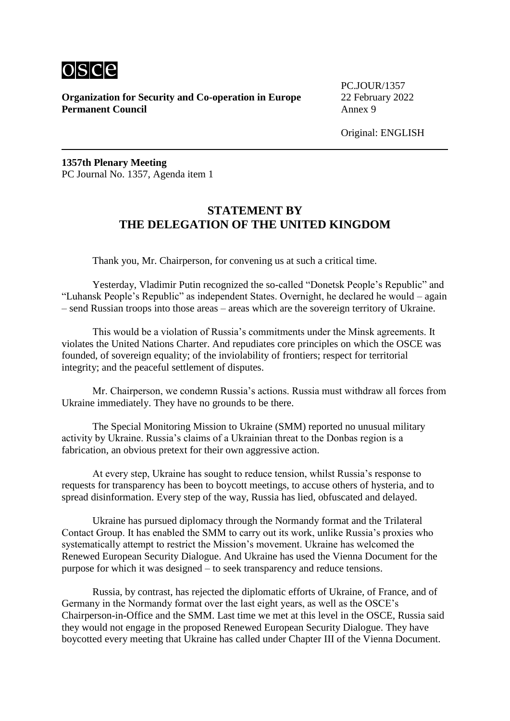

PC.JOUR/1357

Original: ENGLISH

**1357th Plenary Meeting** PC Journal No. 1357, Agenda item 1

#### **STATEMENT BY THE DELEGATION OF THE UNITED KINGDOM**

Thank you, Mr. Chairperson, for convening us at such a critical time.

Yesterday, Vladimir Putin recognized the so-called "Donetsk People's Republic" and "Luhansk People's Republic" as independent States. Overnight, he declared he would – again – send Russian troops into those areas – areas which are the sovereign territory of Ukraine.

This would be a violation of Russia's commitments under the Minsk agreements. It violates the United Nations Charter. And repudiates core principles on which the OSCE was founded, of sovereign equality; of the inviolability of frontiers; respect for territorial integrity; and the peaceful settlement of disputes.

Mr. Chairperson, we condemn Russia's actions. Russia must withdraw all forces from Ukraine immediately. They have no grounds to be there.

The Special Monitoring Mission to Ukraine (SMM) reported no unusual military activity by Ukraine. Russia's claims of a Ukrainian threat to the Donbas region is a fabrication, an obvious pretext for their own aggressive action.

At every step, Ukraine has sought to reduce tension, whilst Russia's response to requests for transparency has been to boycott meetings, to accuse others of hysteria, and to spread disinformation. Every step of the way, Russia has lied, obfuscated and delayed.

Ukraine has pursued diplomacy through the Normandy format and the Trilateral Contact Group. It has enabled the SMM to carry out its work, unlike Russia's proxies who systematically attempt to restrict the Mission's movement. Ukraine has welcomed the Renewed European Security Dialogue. And Ukraine has used the Vienna Document for the purpose for which it was designed – to seek transparency and reduce tensions.

Russia, by contrast, has rejected the diplomatic efforts of Ukraine, of France, and of Germany in the Normandy format over the last eight years, as well as the OSCE's Chairperson-in-Office and the SMM. Last time we met at this level in the OSCE, Russia said they would not engage in the proposed Renewed European Security Dialogue. They have boycotted every meeting that Ukraine has called under Chapter III of the Vienna Document.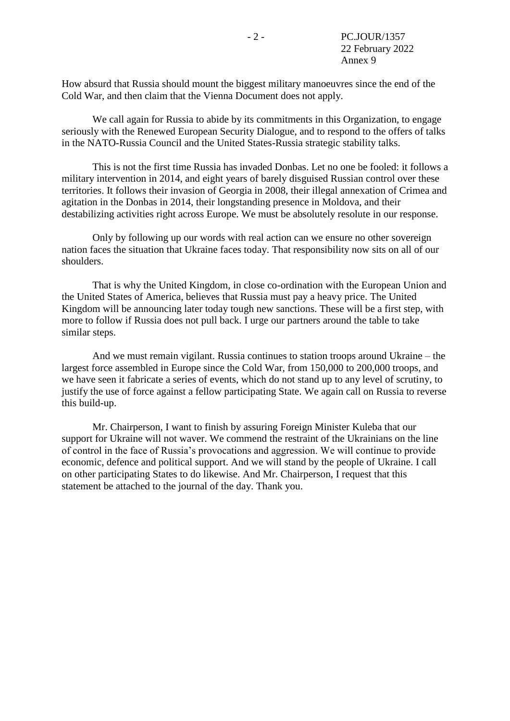How absurd that Russia should mount the biggest military manoeuvres since the end of the Cold War, and then claim that the Vienna Document does not apply.

We call again for Russia to abide by its commitments in this Organization, to engage seriously with the Renewed European Security Dialogue, and to respond to the offers of talks in the NATO-Russia Council and the United States-Russia strategic stability talks.

This is not the first time Russia has invaded Donbas. Let no one be fooled: it follows a military intervention in 2014, and eight years of barely disguised Russian control over these territories. It follows their invasion of Georgia in 2008, their illegal annexation of Crimea and agitation in the Donbas in 2014, their longstanding presence in Moldova, and their destabilizing activities right across Europe. We must be absolutely resolute in our response.

Only by following up our words with real action can we ensure no other sovereign nation faces the situation that Ukraine faces today. That responsibility now sits on all of our shoulders.

That is why the United Kingdom, in close co-ordination with the European Union and the United States of America, believes that Russia must pay a heavy price. The United Kingdom will be announcing later today tough new sanctions. These will be a first step, with more to follow if Russia does not pull back. I urge our partners around the table to take similar steps.

And we must remain vigilant. Russia continues to station troops around Ukraine – the largest force assembled in Europe since the Cold War, from 150,000 to 200,000 troops, and we have seen it fabricate a series of events, which do not stand up to any level of scrutiny, to justify the use of force against a fellow participating State. We again call on Russia to reverse this build-up.

Mr. Chairperson, I want to finish by assuring Foreign Minister Kuleba that our support for Ukraine will not waver. We commend the restraint of the Ukrainians on the line of control in the face of Russia's provocations and aggression. We will continue to provide economic, defence and political support. And we will stand by the people of Ukraine. I call on other participating States to do likewise. And Mr. Chairperson, I request that this statement be attached to the journal of the day. Thank you.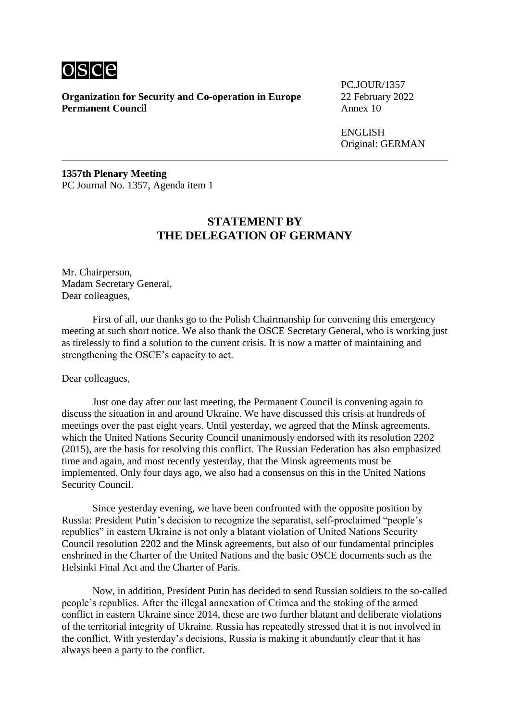

**Organization for Security and Co-operation in Europe** 22 February 2022<br>**Permanent Council** Annex 10 **Permanent Council** 

PC.JOUR/1357

ENGLISH Original: GERMAN

**1357th Plenary Meeting** PC Journal No. 1357, Agenda item 1

#### **STATEMENT BY THE DELEGATION OF GERMANY**

Mr. Chairperson, Madam Secretary General, Dear colleagues.

First of all, our thanks go to the Polish Chairmanship for convening this emergency meeting at such short notice. We also thank the OSCE Secretary General, who is working just as tirelessly to find a solution to the current crisis. It is now a matter of maintaining and strengthening the OSCE's capacity to act.

#### Dear colleagues,

Just one day after our last meeting, the Permanent Council is convening again to discuss the situation in and around Ukraine. We have discussed this crisis at hundreds of meetings over the past eight years. Until yesterday, we agreed that the Minsk agreements, which the United Nations Security Council unanimously endorsed with its resolution 2202 (2015), are the basis for resolving this conflict. The Russian Federation has also emphasized time and again, and most recently yesterday, that the Minsk agreements must be implemented. Only four days ago, we also had a consensus on this in the United Nations Security Council.

Since yesterday evening, we have been confronted with the opposite position by Russia: President Putin's decision to recognize the separatist, self-proclaimed "people's republics" in eastern Ukraine is not only a blatant violation of United Nations Security Council resolution 2202 and the Minsk agreements, but also of our fundamental principles enshrined in the Charter of the United Nations and the basic OSCE documents such as the Helsinki Final Act and the Charter of Paris.

Now, in addition, President Putin has decided to send Russian soldiers to the so-called people's republics. After the illegal annexation of Crimea and the stoking of the armed conflict in eastern Ukraine since 2014, these are two further blatant and deliberate violations of the territorial integrity of Ukraine. Russia has repeatedly stressed that it is not involved in the conflict. With yesterday's decisions, Russia is making it abundantly clear that it has always been a party to the conflict.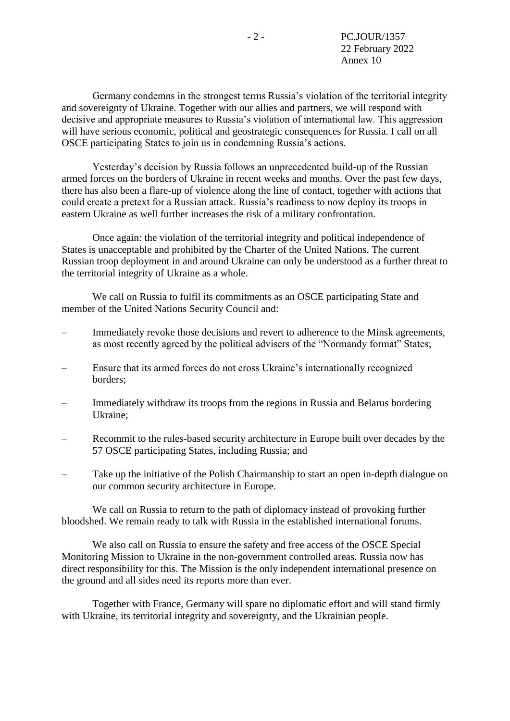Germany condemns in the strongest terms Russia's violation of the territorial integrity and sovereignty of Ukraine. Together with our allies and partners, we will respond with decisive and appropriate measures to Russia's violation of international law. This aggression will have serious economic, political and geostrategic consequences for Russia. I call on all OSCE participating States to join us in condemning Russia's actions.

Yesterday's decision by Russia follows an unprecedented build-up of the Russian armed forces on the borders of Ukraine in recent weeks and months. Over the past few days, there has also been a flare-up of violence along the line of contact, together with actions that could create a pretext for a Russian attack. Russia's readiness to now deploy its troops in eastern Ukraine as well further increases the risk of a military confrontation.

Once again: the violation of the territorial integrity and political independence of States is unacceptable and prohibited by the Charter of the United Nations. The current Russian troop deployment in and around Ukraine can only be understood as a further threat to the territorial integrity of Ukraine as a whole.

We call on Russia to fulfil its commitments as an OSCE participating State and member of the United Nations Security Council and:

- Immediately revoke those decisions and revert to adherence to the Minsk agreements, as most recently agreed by the political advisers of the "Normandy format" States;
- Ensure that its armed forces do not cross Ukraine's internationally recognized borders;
- Immediately withdraw its troops from the regions in Russia and Belarus bordering Ukraine;
- Recommit to the rules-based security architecture in Europe built over decades by the 57 OSCE participating States, including Russia; and
- Take up the initiative of the Polish Chairmanship to start an open in-depth dialogue on our common security architecture in Europe.

We call on Russia to return to the path of diplomacy instead of provoking further bloodshed. We remain ready to talk with Russia in the established international forums.

We also call on Russia to ensure the safety and free access of the OSCE Special Monitoring Mission to Ukraine in the non-government controlled areas. Russia now has direct responsibility for this. The Mission is the only independent international presence on the ground and all sides need its reports more than ever.

Together with France, Germany will spare no diplomatic effort and will stand firmly with Ukraine, its territorial integrity and sovereignty, and the Ukrainian people.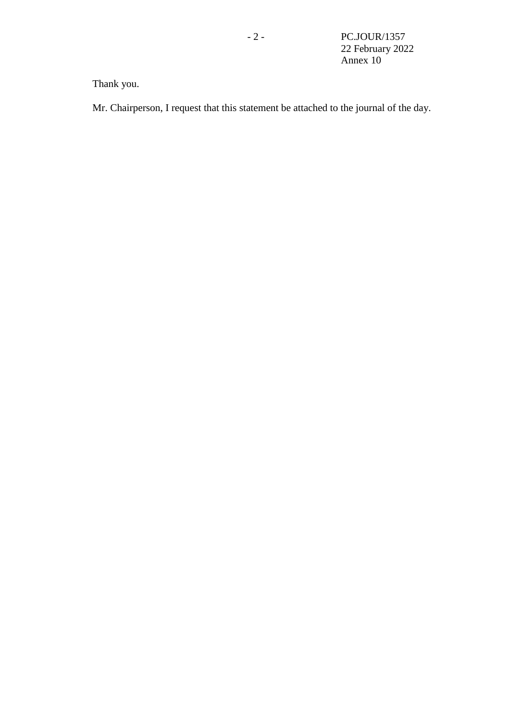# Thank you.

Mr. Chairperson, I request that this statement be attached to the journal of the day.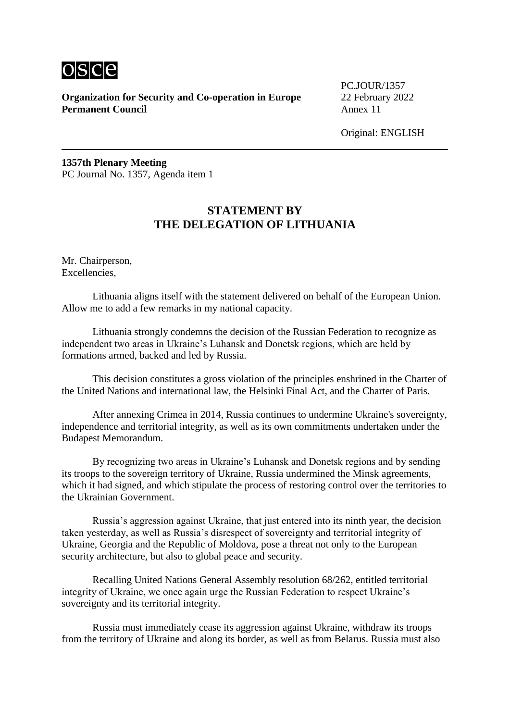

PC.JOUR/1357

Original: ENGLISH

**1357th Plenary Meeting** PC Journal No. 1357, Agenda item 1

## **STATEMENT BY THE DELEGATION OF LITHUANIA**

Mr. Chairperson, Excellencies,

Lithuania aligns itself with the statement delivered on behalf of the European Union. Allow me to add a few remarks in my national capacity.

Lithuania strongly condemns the decision of the Russian Federation to recognize as independent two areas in Ukraine's Luhansk and Donetsk regions, which are held by formations armed, backed and led by Russia.

This decision constitutes a gross violation of the principles enshrined in the Charter of the United Nations and international law, the Helsinki Final Act, and the Charter of Paris.

After annexing Crimea in 2014, Russia continues to undermine Ukraine's sovereignty, independence and territorial integrity, as well as its own commitments undertaken under the Budapest Memorandum.

By recognizing two areas in Ukraine's Luhansk and Donetsk regions and by sending its troops to the sovereign territory of Ukraine, Russia undermined the Minsk agreements, which it had signed, and which stipulate the process of restoring control over the territories to the Ukrainian Government.

Russia's aggression against Ukraine, that just entered into its ninth year, the decision taken yesterday, as well as Russia's disrespect of sovereignty and territorial integrity of Ukraine, Georgia and the Republic of Moldova, pose a threat not only to the European security architecture, but also to global peace and security.

Recalling United Nations General Assembly resolution 68/262, entitled territorial integrity of Ukraine, we once again urge the Russian Federation to respect Ukraine's sovereignty and its territorial integrity.

Russia must immediately cease its aggression against Ukraine, withdraw its troops from the territory of Ukraine and along its border, as well as from Belarus. Russia must also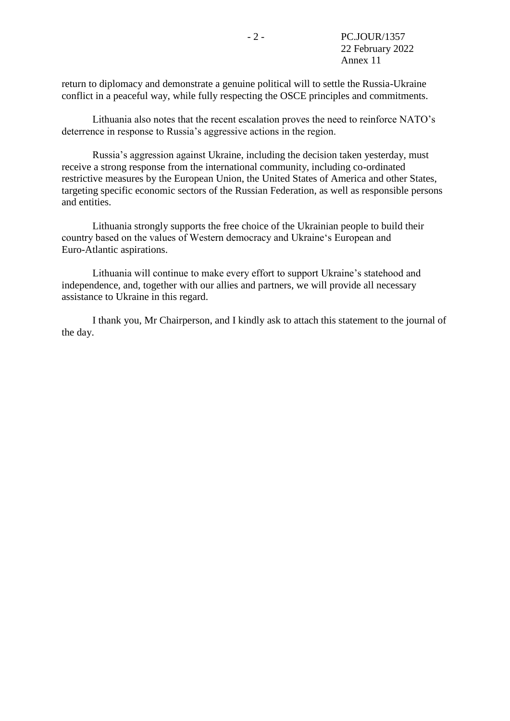return to diplomacy and demonstrate a genuine political will to settle the Russia-Ukraine conflict in a peaceful way, while fully respecting the OSCE principles and commitments.

Lithuania also notes that the recent escalation proves the need to reinforce NATO's deterrence in response to Russia's aggressive actions in the region.

Russia's aggression against Ukraine, including the decision taken yesterday, must receive a strong response from the international community, including co-ordinated restrictive measures by the European Union, the United States of America and other States, targeting specific economic sectors of the Russian Federation, as well as responsible persons and entities.

Lithuania strongly supports the free choice of the Ukrainian people to build their country based on the values of Western democracy and Ukraine's European and Euro-Atlantic aspirations.

Lithuania will continue to make every effort to support Ukraine's statehood and independence, and, together with our allies and partners, we will provide all necessary assistance to Ukraine in this regard.

I thank you, Mr Chairperson, and I kindly ask to attach this statement to the journal of the day.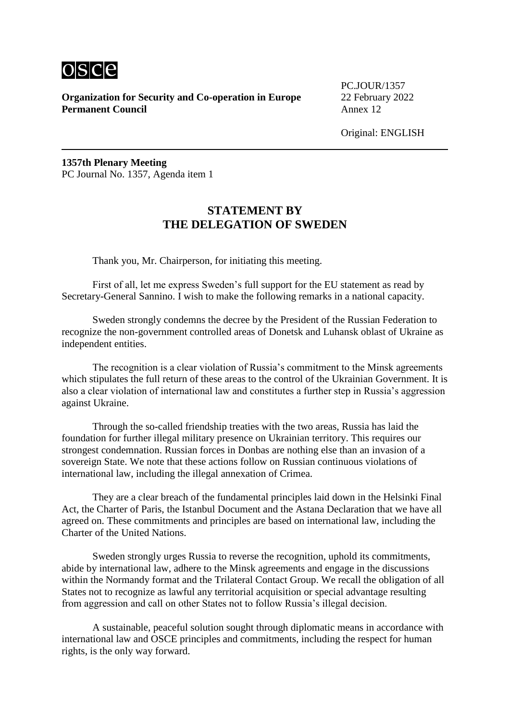

PC.JOUR/1357

Original: ENGLISH

**1357th Plenary Meeting** PC Journal No. 1357, Agenda item 1

#### **STATEMENT BY THE DELEGATION OF SWEDEN**

Thank you, Mr. Chairperson, for initiating this meeting.

First of all, let me express Sweden's full support for the EU statement as read by Secretary-General Sannino. I wish to make the following remarks in a national capacity.

Sweden strongly condemns the decree by the President of the Russian Federation to recognize the non-government controlled areas of Donetsk and Luhansk oblast of Ukraine as independent entities.

The recognition is a clear violation of Russia's commitment to the Minsk agreements which stipulates the full return of these areas to the control of the Ukrainian Government. It is also a clear violation of international law and constitutes a further step in Russia's aggression against Ukraine.

Through the so-called friendship treaties with the two areas, Russia has laid the foundation for further illegal military presence on Ukrainian territory. This requires our strongest condemnation. Russian forces in Donbas are nothing else than an invasion of a sovereign State. We note that these actions follow on Russian continuous violations of international law, including the illegal annexation of Crimea.

They are a clear breach of the fundamental principles laid down in the Helsinki Final Act, the Charter of Paris, the Istanbul Document and the Astana Declaration that we have all agreed on. These commitments and principles are based on international law, including the Charter of the United Nations.

Sweden strongly urges Russia to reverse the recognition, uphold its commitments, abide by international law, adhere to the Minsk agreements and engage in the discussions within the Normandy format and the Trilateral Contact Group. We recall the obligation of all States not to recognize as lawful any territorial acquisition or special advantage resulting from aggression and call on other States not to follow Russia's illegal decision.

A sustainable, peaceful solution sought through diplomatic means in accordance with international law and OSCE principles and commitments, including the respect for human rights, is the only way forward.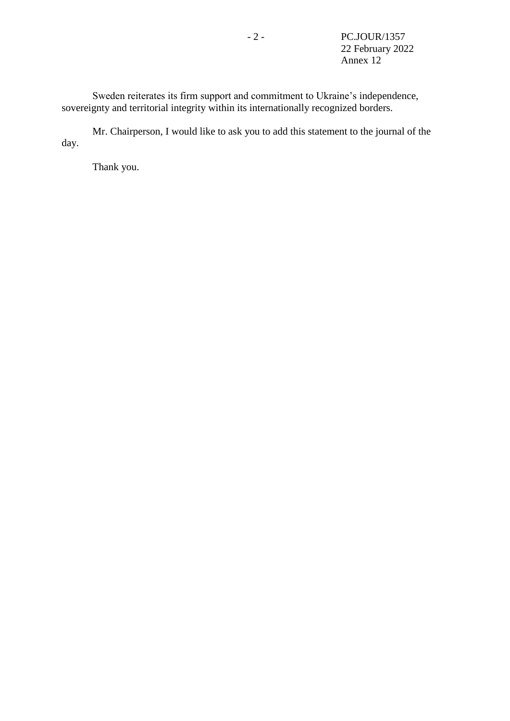Sweden reiterates its firm support and commitment to Ukraine's independence, sovereignty and territorial integrity within its internationally recognized borders.

Mr. Chairperson, I would like to ask you to add this statement to the journal of the day.

Thank you.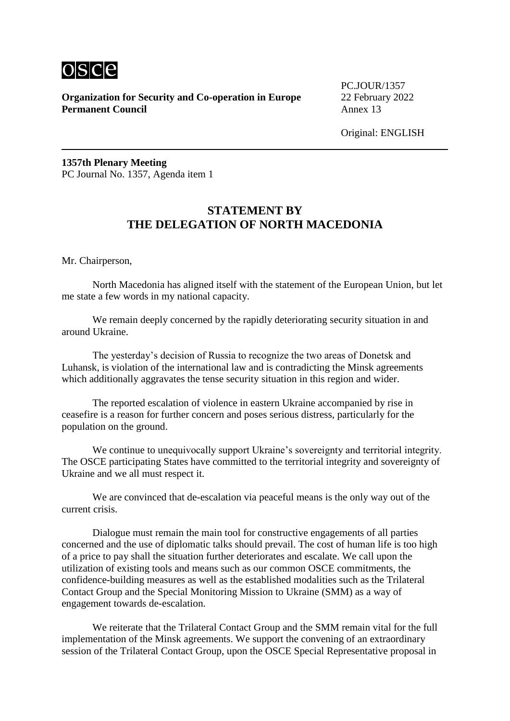

PC.JOUR/1357

Original: ENGLISH

**1357th Plenary Meeting** PC Journal No. 1357, Agenda item 1

## **STATEMENT BY THE DELEGATION OF NORTH MACEDONIA**

Mr. Chairperson,

North Macedonia has aligned itself with the statement of the European Union, but let me state a few words in my national capacity.

We remain deeply concerned by the rapidly deteriorating security situation in and around Ukraine.

The yesterday's decision of Russia to recognize the two areas of Donetsk and Luhansk, is violation of the international law and is contradicting the Minsk agreements which additionally aggravates the tense security situation in this region and wider.

The reported escalation of violence in eastern Ukraine accompanied by rise in ceasefire is a reason for further concern and poses serious distress, particularly for the population on the ground.

We continue to unequivocally support Ukraine's sovereignty and territorial integrity. The OSCE participating States have committed to the territorial integrity and sovereignty of Ukraine and we all must respect it.

We are convinced that de-escalation via peaceful means is the only way out of the current crisis.

Dialogue must remain the main tool for constructive engagements of all parties concerned and the use of diplomatic talks should prevail. The cost of human life is too high of a price to pay shall the situation further deteriorates and escalate. We call upon the utilization of existing tools and means such as our common OSCE commitments, the confidence-building measures as well as the established modalities such as the Trilateral Contact Group and the Special Monitoring Mission to Ukraine (SMM) as a way of engagement towards de-escalation.

We reiterate that the Trilateral Contact Group and the SMM remain vital for the full implementation of the Minsk agreements. We support the convening of an extraordinary session of the Trilateral Contact Group, upon the OSCE Special Representative proposal in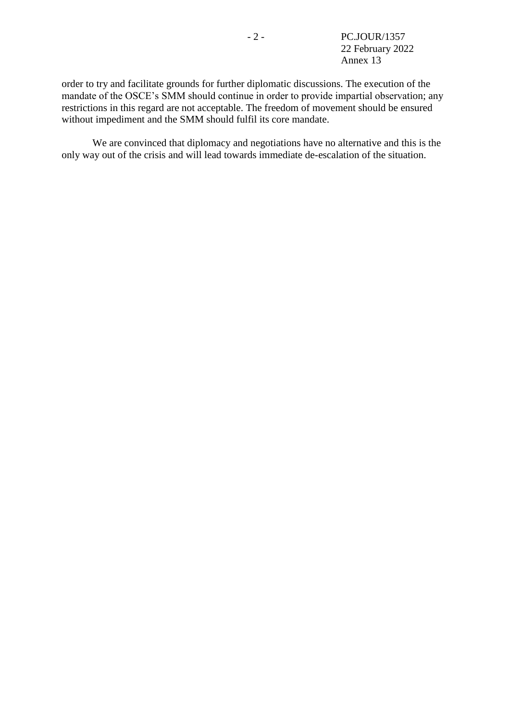order to try and facilitate grounds for further diplomatic discussions. The execution of the mandate of the OSCE's SMM should continue in order to provide impartial observation; any restrictions in this regard are not acceptable. The freedom of movement should be ensured without impediment and the SMM should fulfil its core mandate.

We are convinced that diplomacy and negotiations have no alternative and this is the only way out of the crisis and will lead towards immediate de-escalation of the situation.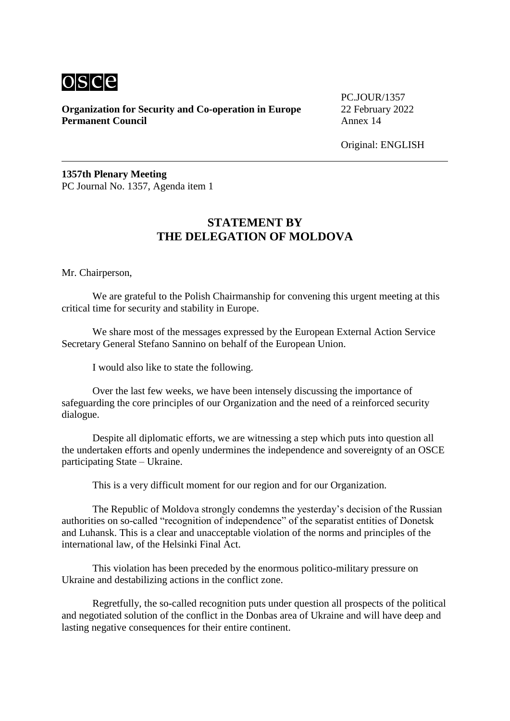

PC.JOUR/1357

Original: ENGLISH

**1357th Plenary Meeting** PC Journal No. 1357, Agenda item 1

## **STATEMENT BY THE DELEGATION OF MOLDOVA**

Mr. Chairperson,

We are grateful to the Polish Chairmanship for convening this urgent meeting at this critical time for security and stability in Europe.

We share most of the messages expressed by the European External Action Service Secretary General Stefano Sannino on behalf of the European Union.

I would also like to state the following.

Over the last few weeks, we have been intensely discussing the importance of safeguarding the core principles of our Organization and the need of a reinforced security dialogue.

Despite all diplomatic efforts, we are witnessing a step which puts into question all the undertaken efforts and openly undermines the independence and sovereignty of an OSCE participating State – Ukraine.

This is a very difficult moment for our region and for our Organization.

The Republic of Moldova strongly condemns the yesterday's decision of the Russian authorities on so-called "recognition of independence" of the separatist entities of Donetsk and Luhansk. This is a clear and unacceptable violation of the norms and principles of the international law, of the Helsinki Final Act.

This violation has been preceded by the enormous politico-military pressure on Ukraine and destabilizing actions in the conflict zone.

Regretfully, the so-called recognition puts under question all prospects of the political and negotiated solution of the conflict in the Donbas area of Ukraine and will have deep and lasting negative consequences for their entire continent.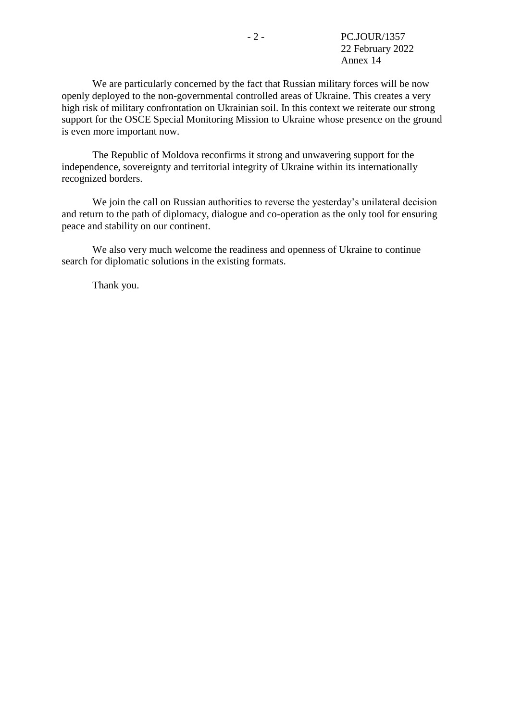We are particularly concerned by the fact that Russian military forces will be now openly deployed to the non-governmental controlled areas of Ukraine. This creates a very high risk of military confrontation on Ukrainian soil. In this context we reiterate our strong support for the OSCE Special Monitoring Mission to Ukraine whose presence on the ground is even more important now.

The Republic of Moldova reconfirms it strong and unwavering support for the independence, sovereignty and territorial integrity of Ukraine within its internationally recognized borders.

We join the call on Russian authorities to reverse the yesterday's unilateral decision and return to the path of diplomacy, dialogue and co-operation as the only tool for ensuring peace and stability on our continent.

We also very much welcome the readiness and openness of Ukraine to continue search for diplomatic solutions in the existing formats.

Thank you.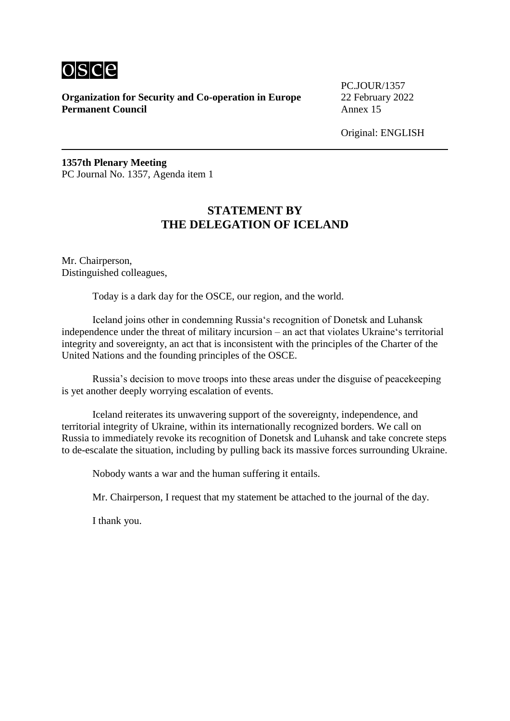

PC.JOUR/1357

Original: ENGLISH

**1357th Plenary Meeting** PC Journal No. 1357, Agenda item 1

### **STATEMENT BY THE DELEGATION OF ICELAND**

Mr. Chairperson, Distinguished colleagues,

Today is a dark day for the OSCE, our region, and the world.

Iceland joins other in condemning Russia's recognition of Donetsk and Luhansk independence under the threat of military incursion – an act that violates Ukraine's territorial integrity and sovereignty, an act that is inconsistent with the principles of the Charter of the United Nations and the founding principles of the OSCE.

Russia's decision to move troops into these areas under the disguise of peacekeeping is yet another deeply worrying escalation of events.

Iceland reiterates its unwavering support of the sovereignty, independence, and territorial integrity of Ukraine, within its internationally recognized borders. We call on Russia to immediately revoke its recognition of Donetsk and Luhansk and take concrete steps to de-escalate the situation, including by pulling back its massive forces surrounding Ukraine.

Nobody wants a war and the human suffering it entails.

Mr. Chairperson, I request that my statement be attached to the journal of the day.

I thank you.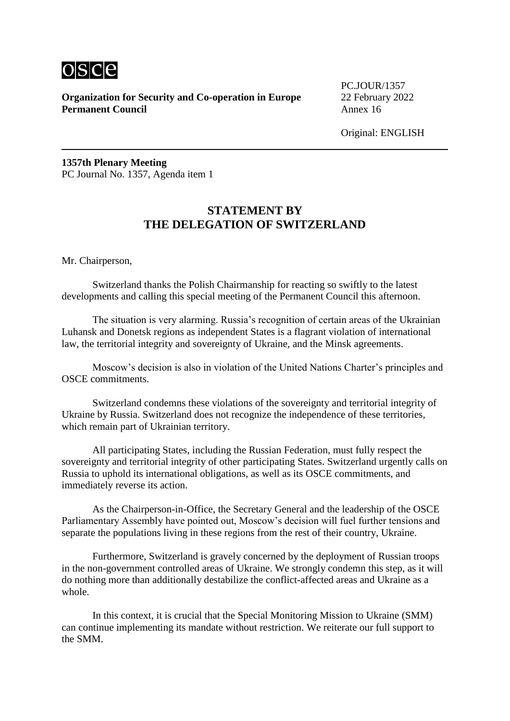

PC.JOUR/1357

Original: ENGLISH

**1357th Plenary Meeting** PC Journal No. 1357, Agenda item 1

## **STATEMENT BY THE DELEGATION OF SWITZERLAND**

Mr. Chairperson,

Switzerland thanks the Polish Chairmanship for reacting so swiftly to the latest developments and calling this special meeting of the Permanent Council this afternoon.

The situation is very alarming. Russia's recognition of certain areas of the Ukrainian Luhansk and Donetsk regions as independent States is a flagrant violation of international law, the territorial integrity and sovereignty of Ukraine, and the Minsk agreements.

Moscow's decision is also in violation of the United Nations Charter's principles and OSCE commitments.

Switzerland condemns these violations of the sovereignty and territorial integrity of Ukraine by Russia. Switzerland does not recognize the independence of these territories, which remain part of Ukrainian territory.

All participating States, including the Russian Federation, must fully respect the sovereignty and territorial integrity of other participating States. Switzerland urgently calls on Russia to uphold its international obligations, as well as its OSCE commitments, and immediately reverse its action.

As the Chairperson-in-Office, the Secretary General and the leadership of the OSCE Parliamentary Assembly have pointed out, Moscow's decision will fuel further tensions and separate the populations living in these regions from the rest of their country, Ukraine.

Furthermore, Switzerland is gravely concerned by the deployment of Russian troops in the non-government controlled areas of Ukraine. We strongly condemn this step, as it will do nothing more than additionally destabilize the conflict-affected areas and Ukraine as a whole.

In this context, it is crucial that the Special Monitoring Mission to Ukraine (SMM) can continue implementing its mandate without restriction. We reiterate our full support to the SMM.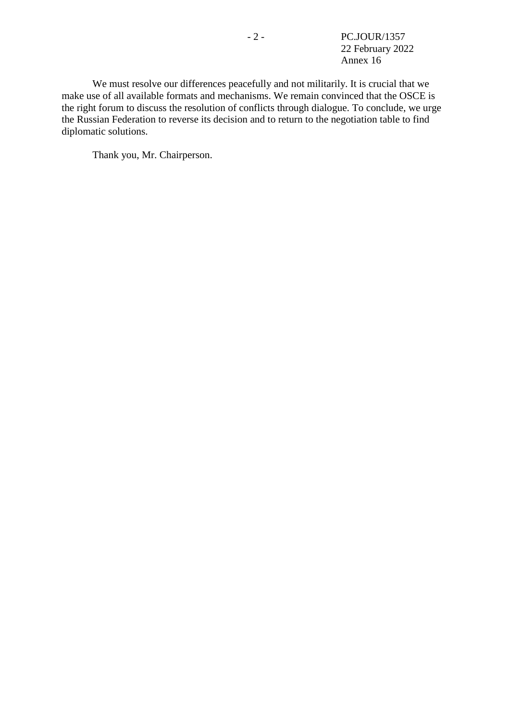- 2 - PC.JOUR/1357 22 February 2022 Annex 16

We must resolve our differences peacefully and not militarily. It is crucial that we make use of all available formats and mechanisms. We remain convinced that the OSCE is the right forum to discuss the resolution of conflicts through dialogue. To conclude, we urge the Russian Federation to reverse its decision and to return to the negotiation table to find diplomatic solutions.

Thank you, Mr. Chairperson.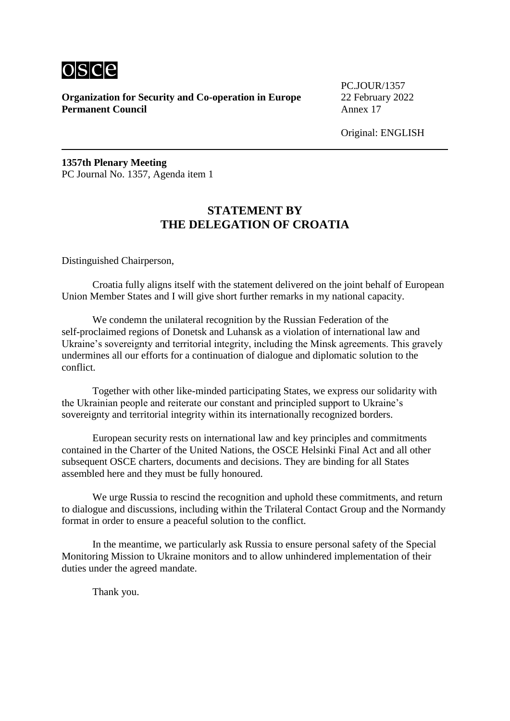

PC.JOUR/1357

Original: ENGLISH

**1357th Plenary Meeting** PC Journal No. 1357, Agenda item 1

## **STATEMENT BY THE DELEGATION OF CROATIA**

Distinguished Chairperson,

Croatia fully aligns itself with the statement delivered on the joint behalf of European Union Member States and I will give short further remarks in my national capacity.

We condemn the unilateral recognition by the Russian Federation of the self-proclaimed regions of Donetsk and Luhansk as a violation of international law and Ukraine's sovereignty and territorial integrity, including the Minsk agreements. This gravely undermines all our efforts for a continuation of dialogue and diplomatic solution to the conflict.

Together with other like-minded participating States, we express our solidarity with the Ukrainian people and reiterate our constant and principled support to Ukraine's sovereignty and territorial integrity within its internationally recognized borders.

European security rests on international law and key principles and commitments contained in the Charter of the United Nations, the OSCE Helsinki Final Act and all other subsequent OSCE charters, documents and decisions. They are binding for all States assembled here and they must be fully honoured.

We urge Russia to rescind the recognition and uphold these commitments, and return to dialogue and discussions, including within the Trilateral Contact Group and the Normandy format in order to ensure a peaceful solution to the conflict.

In the meantime, we particularly ask Russia to ensure personal safety of the Special Monitoring Mission to Ukraine monitors and to allow unhindered implementation of their duties under the agreed mandate.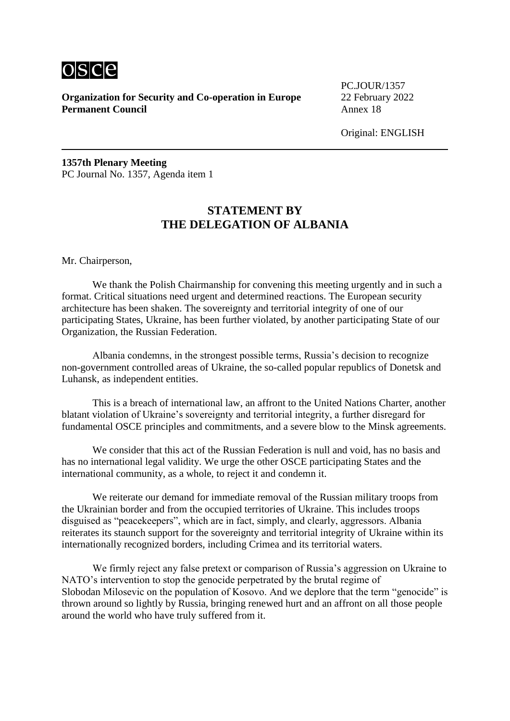

PC.JOUR/1357

Original: ENGLISH

**1357th Plenary Meeting** PC Journal No. 1357, Agenda item 1

## **STATEMENT BY THE DELEGATION OF ALBANIA**

Mr. Chairperson,

We thank the Polish Chairmanship for convening this meeting urgently and in such a format. Critical situations need urgent and determined reactions. The European security architecture has been shaken. The sovereignty and territorial integrity of one of our participating States, Ukraine, has been further violated, by another participating State of our Organization, the Russian Federation.

Albania condemns, in the strongest possible terms, Russia's decision to recognize non-government controlled areas of Ukraine, the so-called popular republics of Donetsk and Luhansk, as independent entities.

This is a breach of international law, an affront to the United Nations Charter, another blatant violation of Ukraine's sovereignty and territorial integrity, a further disregard for fundamental OSCE principles and commitments, and a severe blow to the Minsk agreements.

We consider that this act of the Russian Federation is null and void, has no basis and has no international legal validity. We urge the other OSCE participating States and the international community, as a whole, to reject it and condemn it.

We reiterate our demand for immediate removal of the Russian military troops from the Ukrainian border and from the occupied territories of Ukraine. This includes troops disguised as "peacekeepers", which are in fact, simply, and clearly, aggressors. Albania reiterates its staunch support for the sovereignty and territorial integrity of Ukraine within its internationally recognized borders, including Crimea and its territorial waters.

We firmly reject any false pretext or comparison of Russia's aggression on Ukraine to NATO's intervention to stop the genocide perpetrated by the brutal regime of Slobodan Milosevic on the population of Kosovo. And we deplore that the term "genocide" is thrown around so lightly by Russia, bringing renewed hurt and an affront on all those people around the world who have truly suffered from it.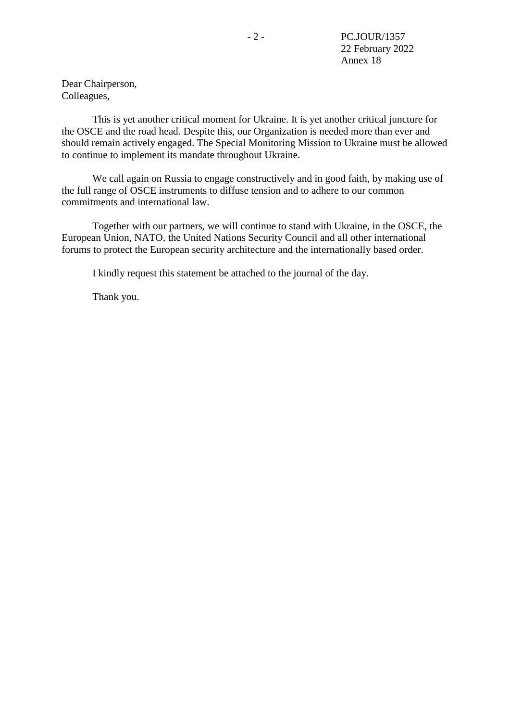Dear Chairperson, Colleagues,

This is yet another critical moment for Ukraine. It is yet another critical juncture for the OSCE and the road head. Despite this, our Organization is needed more than ever and should remain actively engaged. The Special Monitoring Mission to Ukraine must be allowed to continue to implement its mandate throughout Ukraine.

We call again on Russia to engage constructively and in good faith, by making use of the full range of OSCE instruments to diffuse tension and to adhere to our common commitments and international law.

Together with our partners, we will continue to stand with Ukraine, in the OSCE, the European Union, NATO, the United Nations Security Council and all other international forums to protect the European security architecture and the internationally based order.

I kindly request this statement be attached to the journal of the day.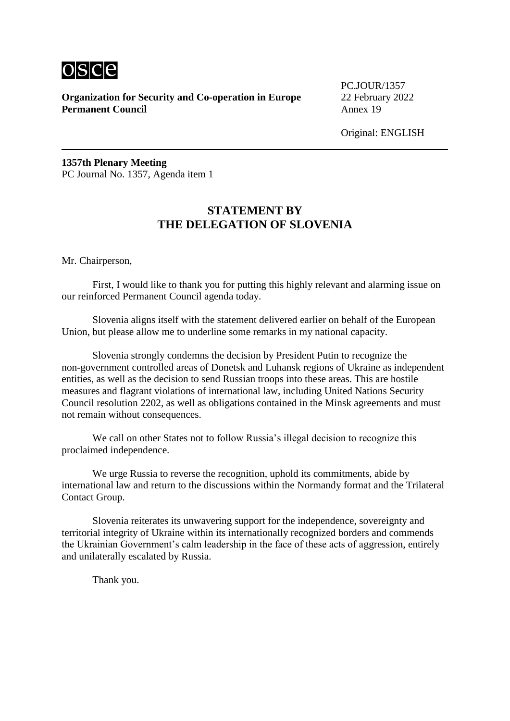

PC.JOUR/1357

Original: ENGLISH

**1357th Plenary Meeting** PC Journal No. 1357, Agenda item 1

## **STATEMENT BY THE DELEGATION OF SLOVENIA**

Mr. Chairperson,

First, I would like to thank you for putting this highly relevant and alarming issue on our reinforced Permanent Council agenda today.

Slovenia aligns itself with the statement delivered earlier on behalf of the European Union, but please allow me to underline some remarks in my national capacity.

Slovenia strongly condemns the decision by President Putin to recognize the non-government controlled areas of Donetsk and Luhansk regions of Ukraine as independent entities, as well as the decision to send Russian troops into these areas. This are hostile measures and flagrant violations of international law, including United Nations Security Council resolution 2202, as well as obligations contained in the Minsk agreements and must not remain without consequences.

We call on other States not to follow Russia's illegal decision to recognize this proclaimed independence.

We urge Russia to reverse the recognition, uphold its commitments, abide by international law and return to the discussions within the Normandy format and the Trilateral Contact Group.

Slovenia reiterates its unwavering support for the independence, sovereignty and territorial integrity of Ukraine within its internationally recognized borders and commends the Ukrainian Government's calm leadership in the face of these acts of aggression, entirely and unilaterally escalated by Russia.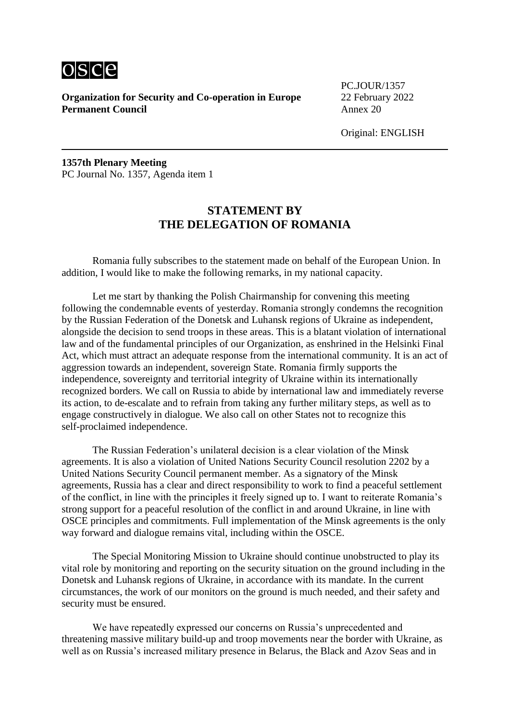

PC.JOUR/1357

Original: ENGLISH

**1357th Plenary Meeting** PC Journal No. 1357, Agenda item 1

## **STATEMENT BY THE DELEGATION OF ROMANIA**

Romania fully subscribes to the statement made on behalf of the European Union. In addition, I would like to make the following remarks, in my national capacity.

Let me start by thanking the Polish Chairmanship for convening this meeting following the condemnable events of yesterday. Romania strongly condemns the recognition by the Russian Federation of the Donetsk and Luhansk regions of Ukraine as independent, alongside the decision to send troops in these areas. This is a blatant violation of international law and of the fundamental principles of our Organization, as enshrined in the Helsinki Final Act, which must attract an adequate response from the international community. It is an act of aggression towards an independent, sovereign State. Romania firmly supports the independence, sovereignty and territorial integrity of Ukraine within its internationally recognized borders. We call on Russia to abide by international law and immediately reverse its action, to de-escalate and to refrain from taking any further military steps, as well as to engage constructively in dialogue. We also call on other States not to recognize this self-proclaimed independence.

The Russian Federation's unilateral decision is a clear violation of the Minsk agreements. It is also a violation of United Nations Security Council resolution 2202 by a United Nations Security Council permanent member. As a signatory of the Minsk agreements, Russia has a clear and direct responsibility to work to find a peaceful settlement of the conflict, in line with the principles it freely signed up to. I want to reiterate Romania's strong support for a peaceful resolution of the conflict in and around Ukraine, in line with OSCE principles and commitments. Full implementation of the Minsk agreements is the only way forward and dialogue remains vital, including within the OSCE.

The Special Monitoring Mission to Ukraine should continue unobstructed to play its vital role by monitoring and reporting on the security situation on the ground including in the Donetsk and Luhansk regions of Ukraine, in accordance with its mandate. In the current circumstances, the work of our monitors on the ground is much needed, and their safety and security must be ensured.

We have repeatedly expressed our concerns on Russia's unprecedented and threatening massive military build-up and troop movements near the border with Ukraine, as well as on Russia's increased military presence in Belarus, the Black and Azov Seas and in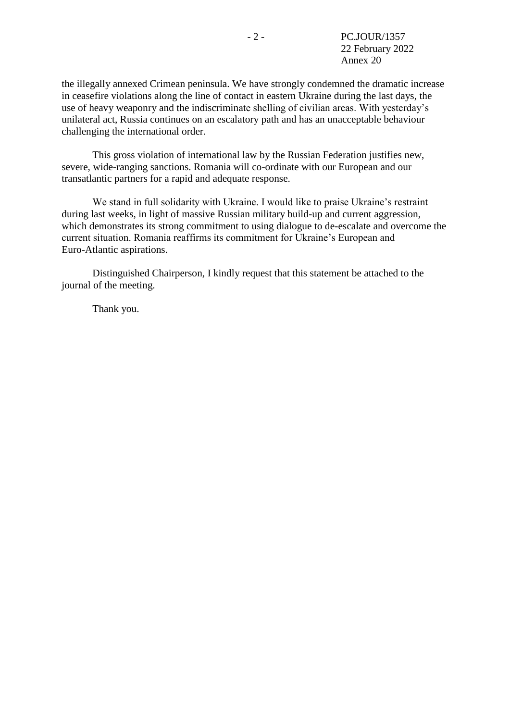the illegally annexed Crimean peninsula. We have strongly condemned the dramatic increase in ceasefire violations along the line of contact in eastern Ukraine during the last days, the use of heavy weaponry and the indiscriminate shelling of civilian areas. With yesterday's unilateral act, Russia continues on an escalatory path and has an unacceptable behaviour challenging the international order.

This gross violation of international law by the Russian Federation justifies new, severe, wide-ranging sanctions. Romania will co-ordinate with our European and our transatlantic partners for a rapid and adequate response.

We stand in full solidarity with Ukraine. I would like to praise Ukraine's restraint during last weeks, in light of massive Russian military build-up and current aggression, which demonstrates its strong commitment to using dialogue to de-escalate and overcome the current situation. Romania reaffirms its commitment for Ukraine's European and Euro-Atlantic aspirations.

Distinguished Chairperson, I kindly request that this statement be attached to the journal of the meeting.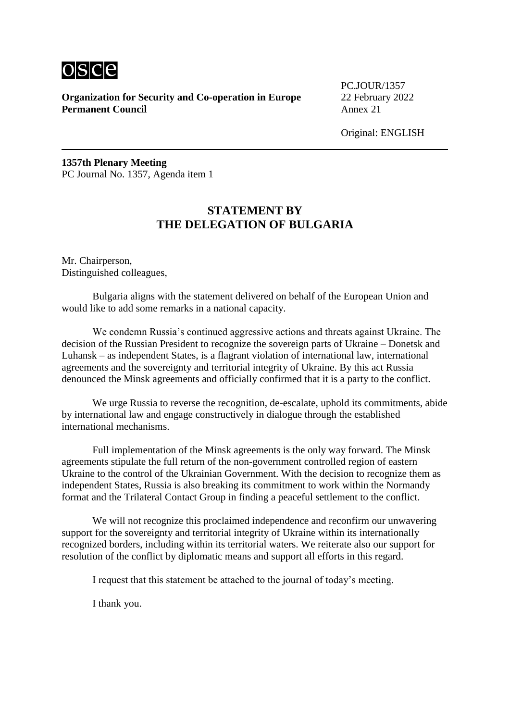

PC.JOUR/1357

Original: ENGLISH

**1357th Plenary Meeting** PC Journal No. 1357, Agenda item 1

## **STATEMENT BY THE DELEGATION OF BULGARIA**

Mr. Chairperson, Distinguished colleagues,

Bulgaria aligns with the statement delivered on behalf of the European Union and would like to add some remarks in a national capacity.

We condemn Russia's continued aggressive actions and threats against Ukraine. The decision of the Russian President to recognize the sovereign parts of Ukraine – Donetsk and Luhansk – as independent States, is a flagrant violation of international law, international agreements and the sovereignty and territorial integrity of Ukraine. By this act Russia denounced the Minsk agreements and officially confirmed that it is a party to the conflict.

We urge Russia to reverse the recognition, de-escalate, uphold its commitments, abide by international law and engage constructively in dialogue through the established international mechanisms.

Full implementation of the Minsk agreements is the only way forward. The Minsk agreements stipulate the full return of the non-government controlled region of eastern Ukraine to the control of the Ukrainian Government. With the decision to recognize them as independent States, Russia is also breaking its commitment to work within the Normandy format and the Trilateral Contact Group in finding a peaceful settlement to the conflict.

We will not recognize this proclaimed independence and reconfirm our unwavering support for the sovereignty and territorial integrity of Ukraine within its internationally recognized borders, including within its territorial waters. We reiterate also our support for resolution of the conflict by diplomatic means and support all efforts in this regard.

I request that this statement be attached to the journal of today's meeting.

I thank you.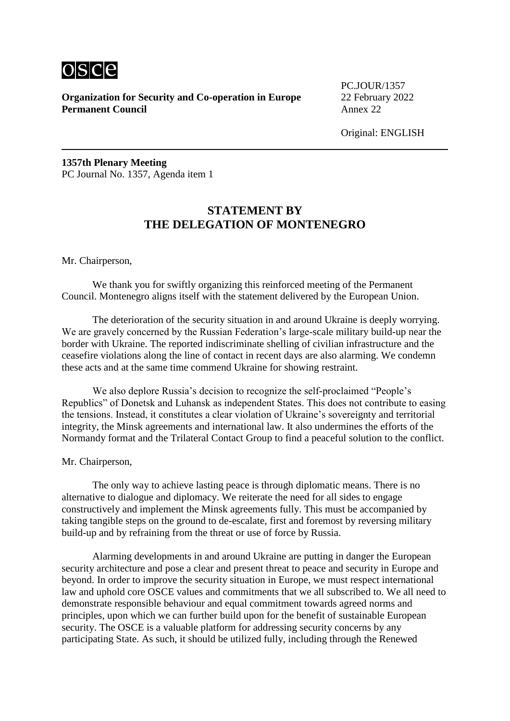

PC.JOUR/1357

Original: ENGLISH

**1357th Plenary Meeting** PC Journal No. 1357, Agenda item 1

## **STATEMENT BY THE DELEGATION OF MONTENEGRO**

Mr. Chairperson,

We thank you for swiftly organizing this reinforced meeting of the Permanent Council. Montenegro aligns itself with the statement delivered by the European Union.

The deterioration of the security situation in and around Ukraine is deeply worrying. We are gravely concerned by the Russian Federation's large-scale military build-up near the border with Ukraine. The reported indiscriminate shelling of civilian infrastructure and the ceasefire violations along the line of contact in recent days are also alarming. We condemn these acts and at the same time commend Ukraine for showing restraint.

We also deplore Russia's decision to recognize the self-proclaimed "People's Republics" of Donetsk and Luhansk as independent States. This does not contribute to easing the tensions. Instead, it constitutes a clear violation of Ukraine's sovereignty and territorial integrity, the Minsk agreements and international law. It also undermines the efforts of the Normandy format and the Trilateral Contact Group to find a peaceful solution to the conflict.

Mr. Chairperson,

The only way to achieve lasting peace is through diplomatic means. There is no alternative to dialogue and diplomacy. We reiterate the need for all sides to engage constructively and implement the Minsk agreements fully. This must be accompanied by taking tangible steps on the ground to de-escalate, first and foremost by reversing military build-up and by refraining from the threat or use of force by Russia.

Alarming developments in and around Ukraine are putting in danger the European security architecture and pose a clear and present threat to peace and security in Europe and beyond. In order to improve the security situation in Europe, we must respect international law and uphold core OSCE values and commitments that we all subscribed to. We all need to demonstrate responsible behaviour and equal commitment towards agreed norms and principles, upon which we can further build upon for the benefit of sustainable European security. The OSCE is a valuable platform for addressing security concerns by any participating State. As such, it should be utilized fully, including through the Renewed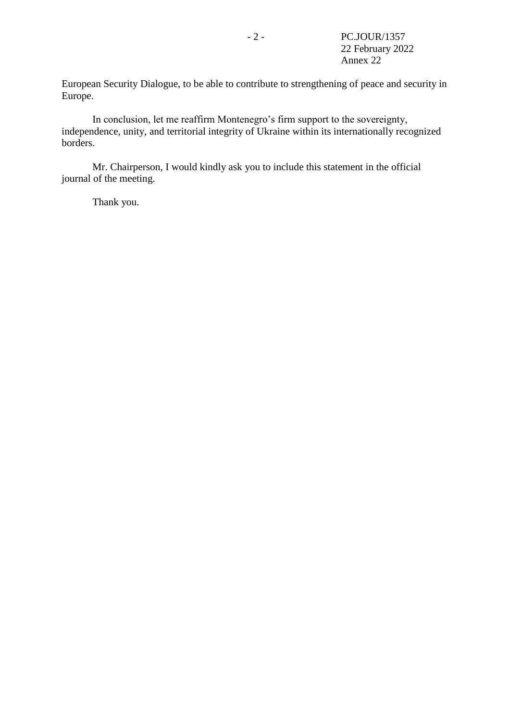European Security Dialogue, to be able to contribute to strengthening of peace and security in Europe.

In conclusion, let me reaffirm Montenegro's firm support to the sovereignty, independence, unity, and territorial integrity of Ukraine within its internationally recognized borders.

Mr. Chairperson, I would kindly ask you to include this statement in the official journal of the meeting.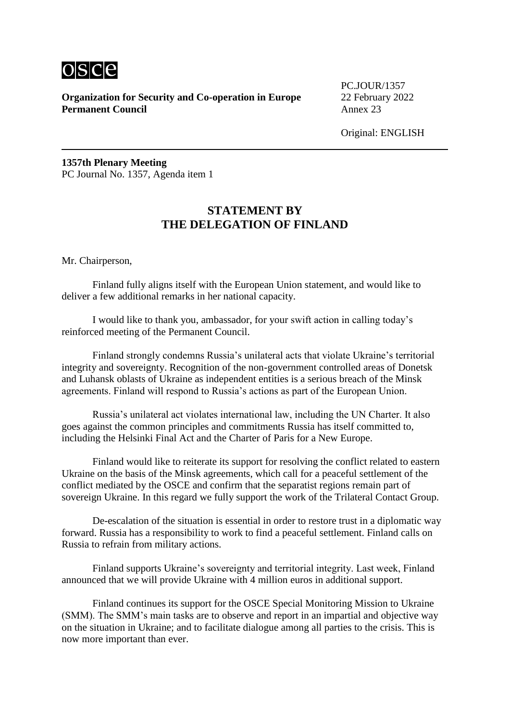

PC.JOUR/1357

Original: ENGLISH

**1357th Plenary Meeting** PC Journal No. 1357, Agenda item 1

## **STATEMENT BY THE DELEGATION OF FINLAND**

Mr. Chairperson,

Finland fully aligns itself with the European Union statement, and would like to deliver a few additional remarks in her national capacity.

I would like to thank you, ambassador, for your swift action in calling today's reinforced meeting of the Permanent Council.

Finland strongly condemns Russia's unilateral acts that violate Ukraine's territorial integrity and sovereignty. Recognition of the non-government controlled areas of Donetsk and Luhansk oblasts of Ukraine as independent entities is a serious breach of the Minsk agreements. Finland will respond to Russia's actions as part of the European Union.

Russia's unilateral act violates international law, including the UN Charter. It also goes against the common principles and commitments Russia has itself committed to, including the Helsinki Final Act and the Charter of Paris for a New Europe.

Finland would like to reiterate its support for resolving the conflict related to eastern Ukraine on the basis of the Minsk agreements, which call for a peaceful settlement of the conflict mediated by the OSCE and confirm that the separatist regions remain part of sovereign Ukraine. In this regard we fully support the work of the Trilateral Contact Group.

De-escalation of the situation is essential in order to restore trust in a diplomatic way forward. Russia has a responsibility to work to find a peaceful settlement. Finland calls on Russia to refrain from military actions.

Finland supports Ukraine's sovereignty and territorial integrity. Last week, Finland announced that we will provide Ukraine with 4 million euros in additional support.

Finland continues its support for the OSCE Special Monitoring Mission to Ukraine (SMM). The SMM's main tasks are to observe and report in an impartial and objective way on the situation in Ukraine; and to facilitate dialogue among all parties to the crisis. This is now more important than ever.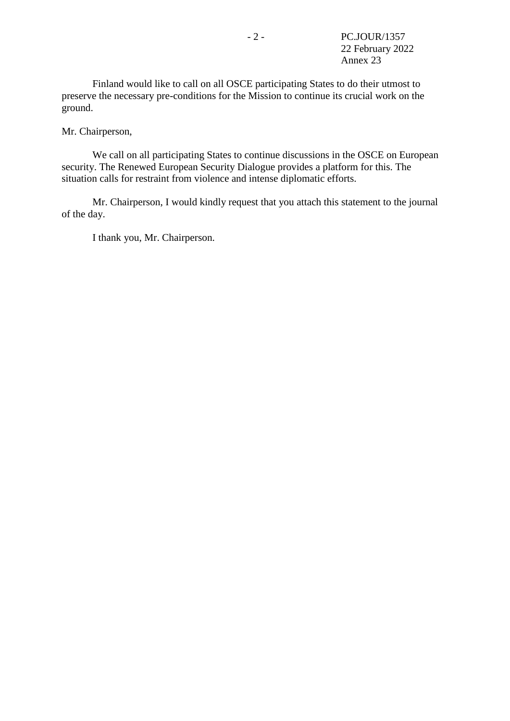Finland would like to call on all OSCE participating States to do their utmost to preserve the necessary pre-conditions for the Mission to continue its crucial work on the ground.

Mr. Chairperson,

We call on all participating States to continue discussions in the OSCE on European security. The Renewed European Security Dialogue provides a platform for this. The situation calls for restraint from violence and intense diplomatic efforts.

Mr. Chairperson, I would kindly request that you attach this statement to the journal of the day.

I thank you, Mr. Chairperson.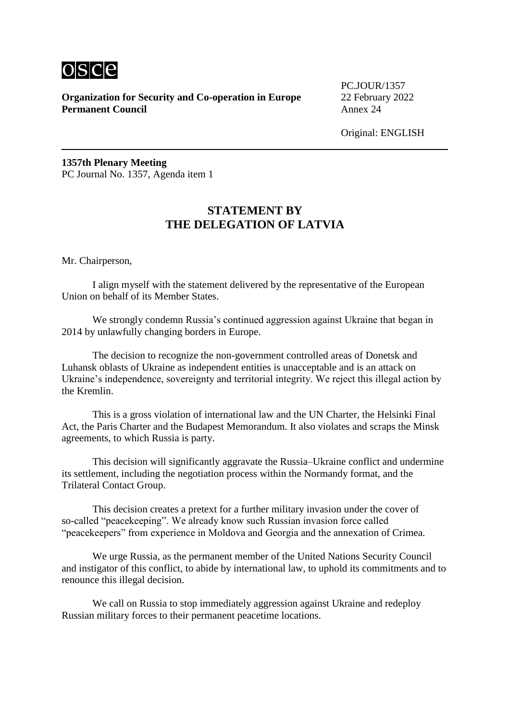

PC.JOUR/1357

Original: ENGLISH

**1357th Plenary Meeting** PC Journal No. 1357, Agenda item 1

## **STATEMENT BY THE DELEGATION OF LATVIA**

Mr. Chairperson,

I align myself with the statement delivered by the representative of the European Union on behalf of its Member States.

We strongly condemn Russia's continued aggression against Ukraine that began in 2014 by unlawfully changing borders in Europe.

The decision to recognize the non-government controlled areas of Donetsk and Luhansk oblasts of Ukraine as independent entities is unacceptable and is an attack on Ukraine's independence, sovereignty and territorial integrity. We reject this illegal action by the Kremlin.

This is a gross violation of international law and the UN Charter, the Helsinki Final Act, the Paris Charter and the Budapest Memorandum. It also violates and scraps the Minsk agreements, to which Russia is party.

This decision will significantly aggravate the Russia–Ukraine conflict and undermine its settlement, including the negotiation process within the Normandy format, and the Trilateral Contact Group.

This decision creates a pretext for a further military invasion under the cover of so-called "peacekeeping". We already know such Russian invasion force called "peacekeepers" from experience in Moldova and Georgia and the annexation of Crimea.

We urge Russia, as the permanent member of the United Nations Security Council and instigator of this conflict, to abide by international law, to uphold its commitments and to renounce this illegal decision.

We call on Russia to stop immediately aggression against Ukraine and redeploy Russian military forces to their permanent peacetime locations.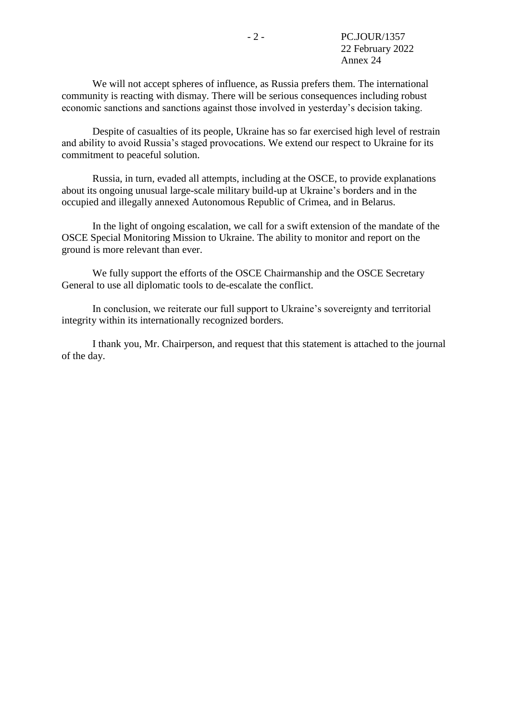We will not accept spheres of influence, as Russia prefers them. The international community is reacting with dismay. There will be serious consequences including robust economic sanctions and sanctions against those involved in yesterday's decision taking.

Despite of casualties of its people, Ukraine has so far exercised high level of restrain and ability to avoid Russia's staged provocations. We extend our respect to Ukraine for its commitment to peaceful solution.

Russia, in turn, evaded all attempts, including at the OSCE, to provide explanations about its ongoing unusual large-scale military build-up at Ukraine's borders and in the occupied and illegally annexed Autonomous Republic of Crimea, and in Belarus.

In the light of ongoing escalation, we call for a swift extension of the mandate of the OSCE Special Monitoring Mission to Ukraine. The ability to monitor and report on the ground is more relevant than ever.

We fully support the efforts of the OSCE Chairmanship and the OSCE Secretary General to use all diplomatic tools to de-escalate the conflict.

In conclusion, we reiterate our full support to Ukraine's sovereignty and territorial integrity within its internationally recognized borders.

I thank you, Mr. Chairperson, and request that this statement is attached to the journal of the day.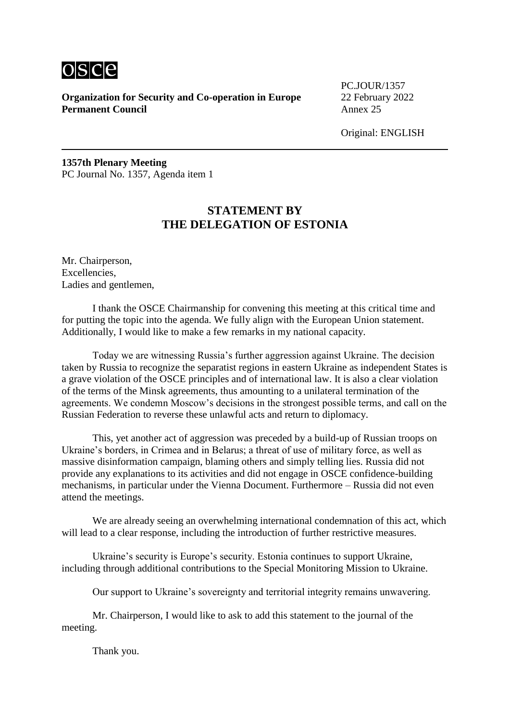

PC.JOUR/1357

Original: ENGLISH

**1357th Plenary Meeting** PC Journal No. 1357, Agenda item 1

## **STATEMENT BY THE DELEGATION OF ESTONIA**

Mr. Chairperson, Excellencies, Ladies and gentlemen,

I thank the OSCE Chairmanship for convening this meeting at this critical time and for putting the topic into the agenda. We fully align with the European Union statement. Additionally, I would like to make a few remarks in my national capacity.

Today we are witnessing Russia's further aggression against Ukraine. The decision taken by Russia to recognize the separatist regions in eastern Ukraine as independent States is a grave violation of the OSCE principles and of international law. It is also a clear violation of the terms of the Minsk agreements, thus amounting to a unilateral termination of the agreements. We condemn Moscow's decisions in the strongest possible terms, and call on the Russian Federation to reverse these unlawful acts and return to diplomacy.

This, yet another act of aggression was preceded by a build-up of Russian troops on Ukraine's borders, in Crimea and in Belarus; a threat of use of military force, as well as massive disinformation campaign, blaming others and simply telling lies. Russia did not provide any explanations to its activities and did not engage in OSCE confidence-building mechanisms, in particular under the Vienna Document. Furthermore – Russia did not even attend the meetings.

We are already seeing an overwhelming international condemnation of this act, which will lead to a clear response, including the introduction of further restrictive measures.

Ukraine's security is Europe's security. Estonia continues to support Ukraine, including through additional contributions to the Special Monitoring Mission to Ukraine.

Our support to Ukraine's sovereignty and territorial integrity remains unwavering.

Mr. Chairperson, I would like to ask to add this statement to the journal of the meeting.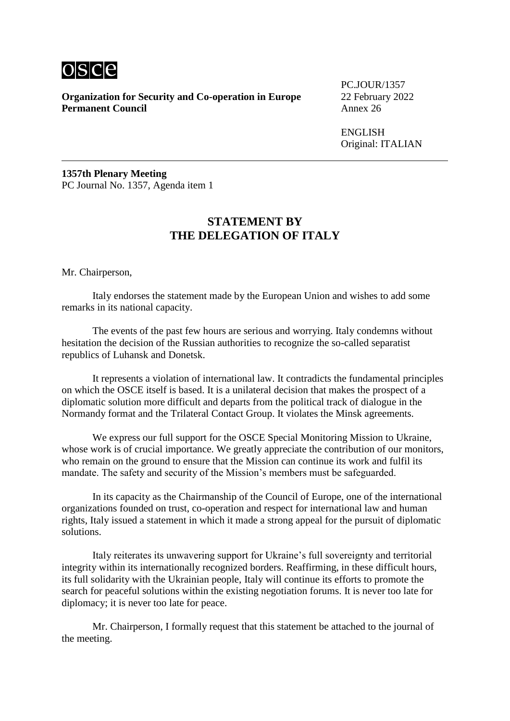

**Organization for Security and Co-operation in Europe** 22 February 2022<br>**Permanent Council** Annex 26 **Permanent Council** 

PC.JOUR/1357

ENGLISH Original: ITALIAN

**1357th Plenary Meeting** PC Journal No. 1357, Agenda item 1

#### **STATEMENT BY THE DELEGATION OF ITALY**

Mr. Chairperson,

Italy endorses the statement made by the European Union and wishes to add some remarks in its national capacity.

The events of the past few hours are serious and worrying. Italy condemns without hesitation the decision of the Russian authorities to recognize the so-called separatist republics of Luhansk and Donetsk.

It represents a violation of international law. It contradicts the fundamental principles on which the OSCE itself is based. It is a unilateral decision that makes the prospect of a diplomatic solution more difficult and departs from the political track of dialogue in the Normandy format and the Trilateral Contact Group. It violates the Minsk agreements.

We express our full support for the OSCE Special Monitoring Mission to Ukraine, whose work is of crucial importance. We greatly appreciate the contribution of our monitors, who remain on the ground to ensure that the Mission can continue its work and fulfil its mandate. The safety and security of the Mission's members must be safeguarded.

In its capacity as the Chairmanship of the Council of Europe, one of the international organizations founded on trust, co-operation and respect for international law and human rights, Italy issued a statement in which it made a strong appeal for the pursuit of diplomatic solutions.

Italy reiterates its unwavering support for Ukraine's full sovereignty and territorial integrity within its internationally recognized borders. Reaffirming, in these difficult hours, its full solidarity with the Ukrainian people, Italy will continue its efforts to promote the search for peaceful solutions within the existing negotiation forums. It is never too late for diplomacy; it is never too late for peace.

Mr. Chairperson, I formally request that this statement be attached to the journal of the meeting.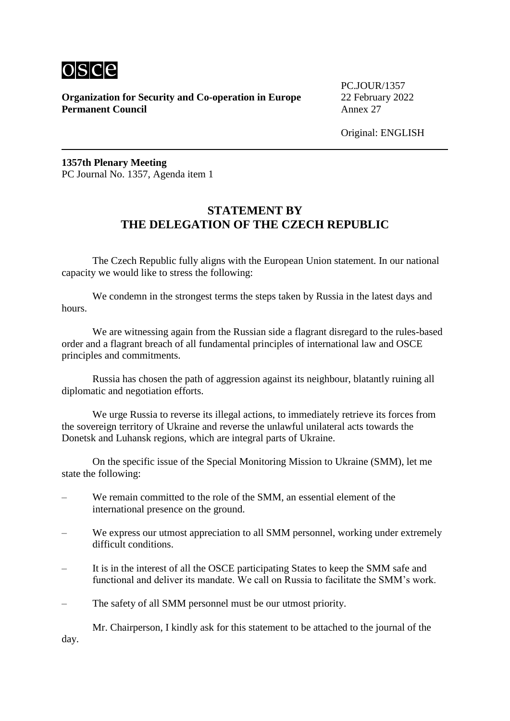

PC.JOUR/1357

Original: ENGLISH

**1357th Plenary Meeting** PC Journal No. 1357, Agenda item 1

## **STATEMENT BY THE DELEGATION OF THE CZECH REPUBLIC**

The Czech Republic fully aligns with the European Union statement. In our national capacity we would like to stress the following:

We condemn in the strongest terms the steps taken by Russia in the latest days and hours.

We are witnessing again from the Russian side a flagrant disregard to the rules-based order and a flagrant breach of all fundamental principles of international law and OSCE principles and commitments.

Russia has chosen the path of aggression against its neighbour, blatantly ruining all diplomatic and negotiation efforts.

We urge Russia to reverse its illegal actions, to immediately retrieve its forces from the sovereign territory of Ukraine and reverse the unlawful unilateral acts towards the Donetsk and Luhansk regions, which are integral parts of Ukraine.

On the specific issue of the Special Monitoring Mission to Ukraine (SMM), let me state the following:

- We remain committed to the role of the SMM, an essential element of the international presence on the ground.
- We express our utmost appreciation to all SMM personnel, working under extremely difficult conditions.
- It is in the interest of all the OSCE participating States to keep the SMM safe and functional and deliver its mandate. We call on Russia to facilitate the SMM's work.
- The safety of all SMM personnel must be our utmost priority.

Mr. Chairperson, I kindly ask for this statement to be attached to the journal of the day.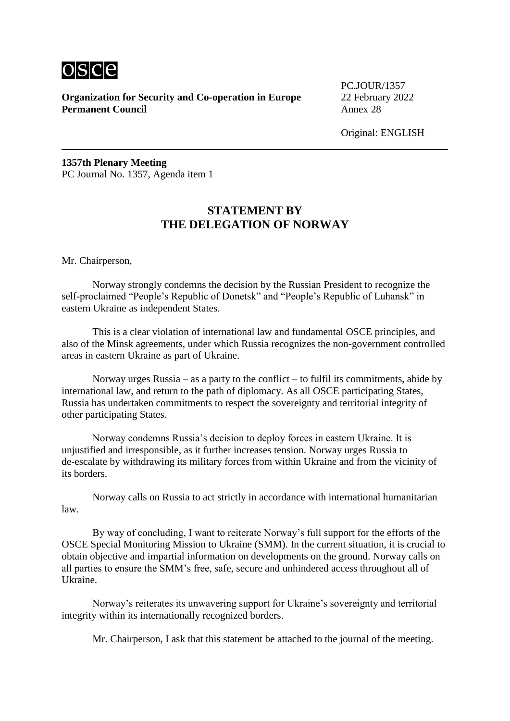

PC.JOUR/1357

Original: ENGLISH

**1357th Plenary Meeting** PC Journal No. 1357, Agenda item 1

## **STATEMENT BY THE DELEGATION OF NORWAY**

Mr. Chairperson,

Norway strongly condemns the decision by the Russian President to recognize the self-proclaimed "People's Republic of Donetsk" and "People's Republic of Luhansk" in eastern Ukraine as independent States.

This is a clear violation of international law and fundamental OSCE principles, and also of the Minsk agreements, under which Russia recognizes the non-government controlled areas in eastern Ukraine as part of Ukraine.

Norway urges Russia – as a party to the conflict – to fulfil its commitments, abide by international law, and return to the path of diplomacy. As all OSCE participating States, Russia has undertaken commitments to respect the sovereignty and territorial integrity of other participating States.

Norway condemns Russia's decision to deploy forces in eastern Ukraine. It is unjustified and irresponsible, as it further increases tension. Norway urges Russia to de-escalate by withdrawing its military forces from within Ukraine and from the vicinity of its borders.

Norway calls on Russia to act strictly in accordance with international humanitarian law.

By way of concluding, I want to reiterate Norway's full support for the efforts of the OSCE Special Monitoring Mission to Ukraine (SMM). In the current situation, it is crucial to obtain objective and impartial information on developments on the ground. Norway calls on all parties to ensure the SMM's free, safe, secure and unhindered access throughout all of Ukraine.

Norway's reiterates its unwavering support for Ukraine's sovereignty and territorial integrity within its internationally recognized borders.

Mr. Chairperson, I ask that this statement be attached to the journal of the meeting.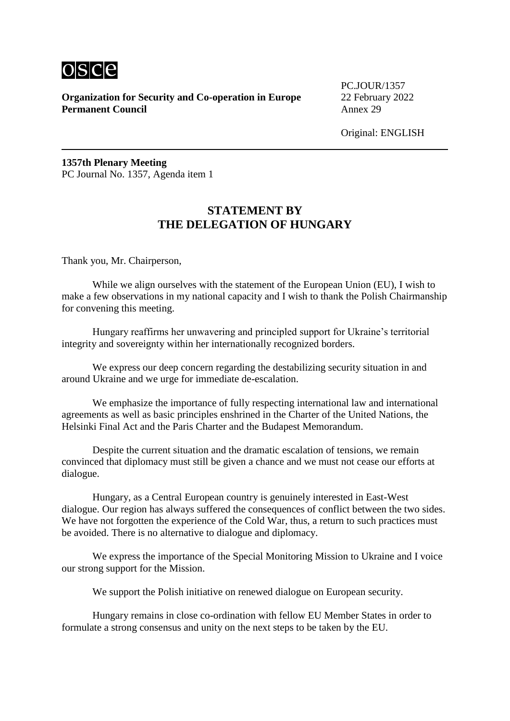

PC.JOUR/1357

Original: ENGLISH

**1357th Plenary Meeting** PC Journal No. 1357, Agenda item 1

#### **STATEMENT BY THE DELEGATION OF HUNGARY**

Thank you, Mr. Chairperson,

While we align ourselves with the statement of the European Union (EU), I wish to make a few observations in my national capacity and I wish to thank the Polish Chairmanship for convening this meeting.

Hungary reaffirms her unwavering and principled support for Ukraine's territorial integrity and sovereignty within her internationally recognized borders.

We express our deep concern regarding the destabilizing security situation in and around Ukraine and we urge for immediate de-escalation.

We emphasize the importance of fully respecting international law and international agreements as well as basic principles enshrined in the Charter of the United Nations, the Helsinki Final Act and the Paris Charter and the Budapest Memorandum.

Despite the current situation and the dramatic escalation of tensions, we remain convinced that diplomacy must still be given a chance and we must not cease our efforts at dialogue.

Hungary, as a Central European country is genuinely interested in East-West dialogue. Our region has always suffered the consequences of conflict between the two sides. We have not forgotten the experience of the Cold War, thus, a return to such practices must be avoided. There is no alternative to dialogue and diplomacy.

We express the importance of the Special Monitoring Mission to Ukraine and I voice our strong support for the Mission.

We support the Polish initiative on renewed dialogue on European security.

Hungary remains in close co-ordination with fellow EU Member States in order to formulate a strong consensus and unity on the next steps to be taken by the EU.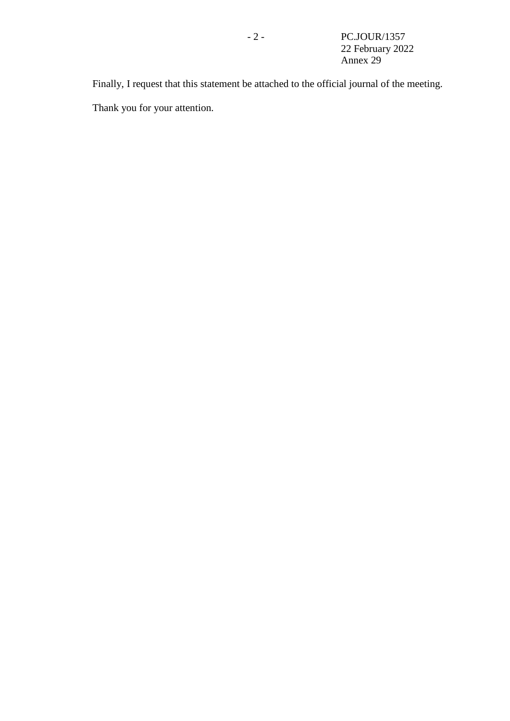Finally, I request that this statement be attached to the official journal of the meeting. Thank you for your attention.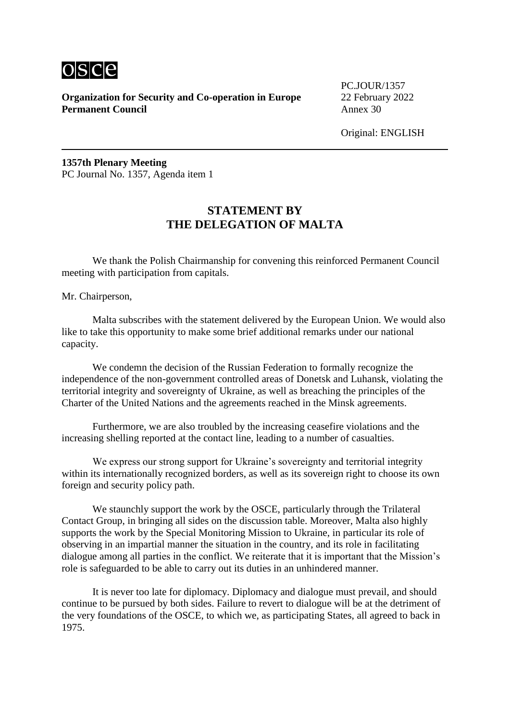

PC.JOUR/1357

Original: ENGLISH

**1357th Plenary Meeting** PC Journal No. 1357, Agenda item 1

#### **STATEMENT BY THE DELEGATION OF MALTA**

We thank the Polish Chairmanship for convening this reinforced Permanent Council meeting with participation from capitals.

Mr. Chairperson,

Malta subscribes with the statement delivered by the European Union. We would also like to take this opportunity to make some brief additional remarks under our national capacity.

We condemn the decision of the Russian Federation to formally recognize the independence of the non-government controlled areas of Donetsk and Luhansk, violating the territorial integrity and sovereignty of Ukraine, as well as breaching the principles of the Charter of the United Nations and the agreements reached in the Minsk agreements.

Furthermore, we are also troubled by the increasing ceasefire violations and the increasing shelling reported at the contact line, leading to a number of casualties.

We express our strong support for Ukraine's sovereignty and territorial integrity within its internationally recognized borders, as well as its sovereign right to choose its own foreign and security policy path.

We staunchly support the work by the OSCE, particularly through the Trilateral Contact Group, in bringing all sides on the discussion table. Moreover, Malta also highly supports the work by the Special Monitoring Mission to Ukraine, in particular its role of observing in an impartial manner the situation in the country, and its role in facilitating dialogue among all parties in the conflict. We reiterate that it is important that the Mission's role is safeguarded to be able to carry out its duties in an unhindered manner.

It is never too late for diplomacy. Diplomacy and dialogue must prevail, and should continue to be pursued by both sides. Failure to revert to dialogue will be at the detriment of the very foundations of the OSCE, to which we, as participating States, all agreed to back in 1975.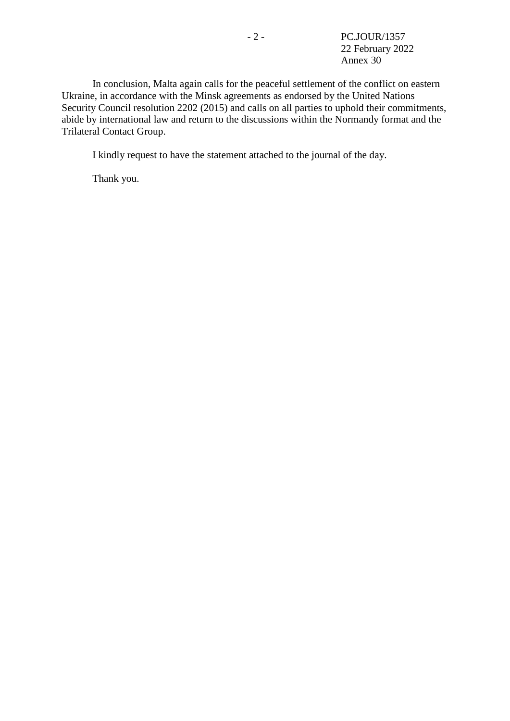In conclusion, Malta again calls for the peaceful settlement of the conflict on eastern Ukraine, in accordance with the Minsk agreements as endorsed by the United Nations Security Council resolution 2202 (2015) and calls on all parties to uphold their commitments, abide by international law and return to the discussions within the Normandy format and the Trilateral Contact Group.

I kindly request to have the statement attached to the journal of the day.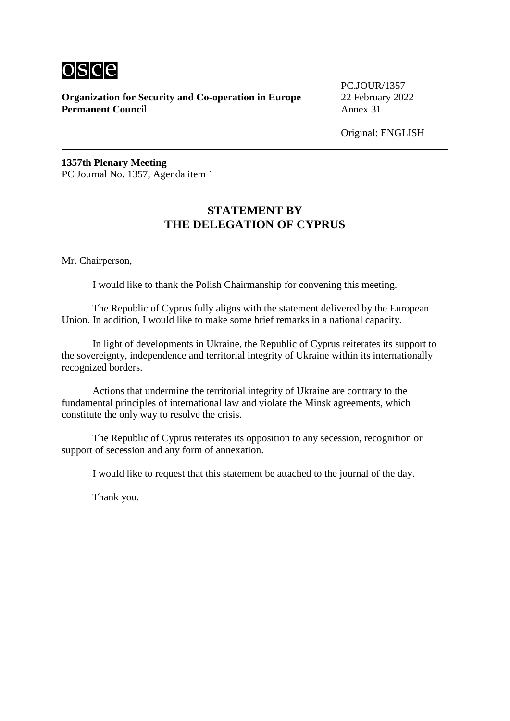

PC.JOUR/1357

Original: ENGLISH

**1357th Plenary Meeting** PC Journal No. 1357, Agenda item 1

## **STATEMENT BY THE DELEGATION OF CYPRUS**

Mr. Chairperson,

I would like to thank the Polish Chairmanship for convening this meeting.

The Republic of Cyprus fully aligns with the statement delivered by the European Union. In addition, I would like to make some brief remarks in a national capacity.

In light of developments in Ukraine, the Republic of Cyprus reiterates its support to the sovereignty, independence and territorial integrity of Ukraine within its internationally recognized borders.

Actions that undermine the territorial integrity of Ukraine are contrary to the fundamental principles of international law and violate the Minsk agreements, which constitute the only way to resolve the crisis.

The Republic of Cyprus reiterates its opposition to any secession, recognition or support of secession and any form of annexation.

I would like to request that this statement be attached to the journal of the day.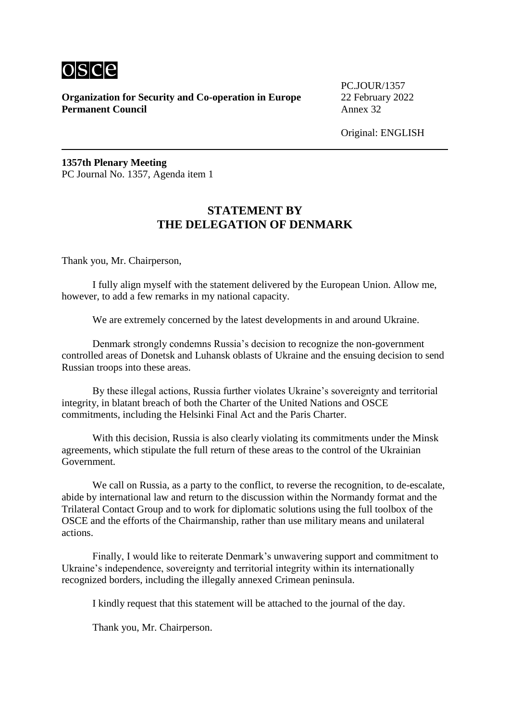

PC.JOUR/1357

Original: ENGLISH

**1357th Plenary Meeting** PC Journal No. 1357, Agenda item 1

#### **STATEMENT BY THE DELEGATION OF DENMARK**

Thank you, Mr. Chairperson,

I fully align myself with the statement delivered by the European Union. Allow me, however, to add a few remarks in my national capacity.

We are extremely concerned by the latest developments in and around Ukraine.

Denmark strongly condemns Russia's decision to recognize the non-government controlled areas of Donetsk and Luhansk oblasts of Ukraine and the ensuing decision to send Russian troops into these areas.

By these illegal actions, Russia further violates Ukraine's sovereignty and territorial integrity, in blatant breach of both the Charter of the United Nations and OSCE commitments, including the Helsinki Final Act and the Paris Charter.

With this decision, Russia is also clearly violating its commitments under the Minsk agreements, which stipulate the full return of these areas to the control of the Ukrainian Government.

We call on Russia, as a party to the conflict, to reverse the recognition, to de-escalate, abide by international law and return to the discussion within the Normandy format and the Trilateral Contact Group and to work for diplomatic solutions using the full toolbox of the OSCE and the efforts of the Chairmanship, rather than use military means and unilateral actions.

Finally, I would like to reiterate Denmark's unwavering support and commitment to Ukraine's independence, sovereignty and territorial integrity within its internationally recognized borders, including the illegally annexed Crimean peninsula.

I kindly request that this statement will be attached to the journal of the day.

Thank you, Mr. Chairperson.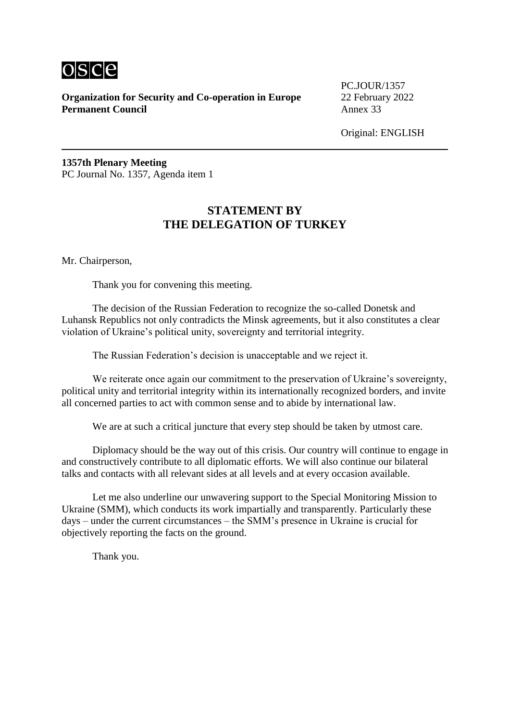

PC.JOUR/1357

Original: ENGLISH

**1357th Plenary Meeting** PC Journal No. 1357, Agenda item 1

## **STATEMENT BY THE DELEGATION OF TURKEY**

Mr. Chairperson,

Thank you for convening this meeting.

The decision of the Russian Federation to recognize the so-called Donetsk and Luhansk Republics not only contradicts the Minsk agreements, but it also constitutes a clear violation of Ukraine's political unity, sovereignty and territorial integrity.

The Russian Federation's decision is unacceptable and we reject it.

We reiterate once again our commitment to the preservation of Ukraine's sovereignty, political unity and territorial integrity within its internationally recognized borders, and invite all concerned parties to act with common sense and to abide by international law.

We are at such a critical juncture that every step should be taken by utmost care.

Diplomacy should be the way out of this crisis. Our country will continue to engage in and constructively contribute to all diplomatic efforts. We will also continue our bilateral talks and contacts with all relevant sides at all levels and at every occasion available.

Let me also underline our unwavering support to the Special Monitoring Mission to Ukraine (SMM), which conducts its work impartially and transparently. Particularly these days – under the current circumstances – the SMM's presence in Ukraine is crucial for objectively reporting the facts on the ground.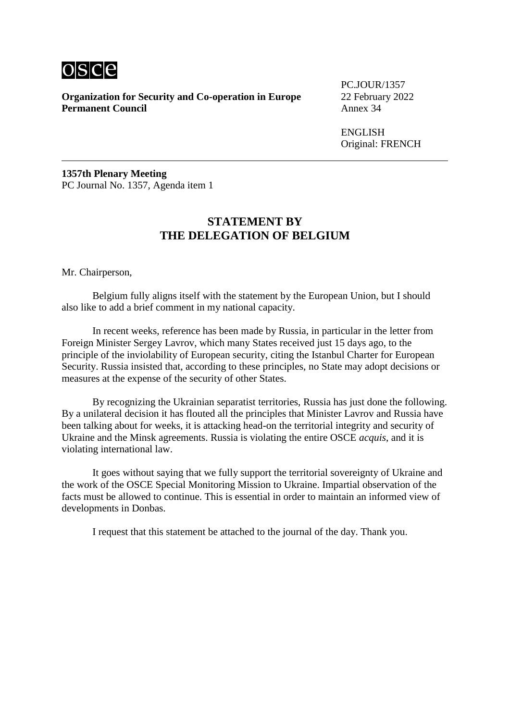

PC.JOUR/1357

ENGLISH Original: FRENCH

**1357th Plenary Meeting** PC Journal No. 1357, Agenda item 1

#### **STATEMENT BY THE DELEGATION OF BELGIUM**

Mr. Chairperson,

Belgium fully aligns itself with the statement by the European Union, but I should also like to add a brief comment in my national capacity.

In recent weeks, reference has been made by Russia, in particular in the letter from Foreign Minister Sergey Lavrov, which many States received just 15 days ago, to the principle of the inviolability of European security, citing the Istanbul Charter for European Security. Russia insisted that, according to these principles, no State may adopt decisions or measures at the expense of the security of other States.

By recognizing the Ukrainian separatist territories, Russia has just done the following. By a unilateral decision it has flouted all the principles that Minister Lavrov and Russia have been talking about for weeks, it is attacking head-on the territorial integrity and security of Ukraine and the Minsk agreements. Russia is violating the entire OSCE *acquis*, and it is violating international law.

It goes without saying that we fully support the territorial sovereignty of Ukraine and the work of the OSCE Special Monitoring Mission to Ukraine. Impartial observation of the facts must be allowed to continue. This is essential in order to maintain an informed view of developments in Donbas.

I request that this statement be attached to the journal of the day. Thank you.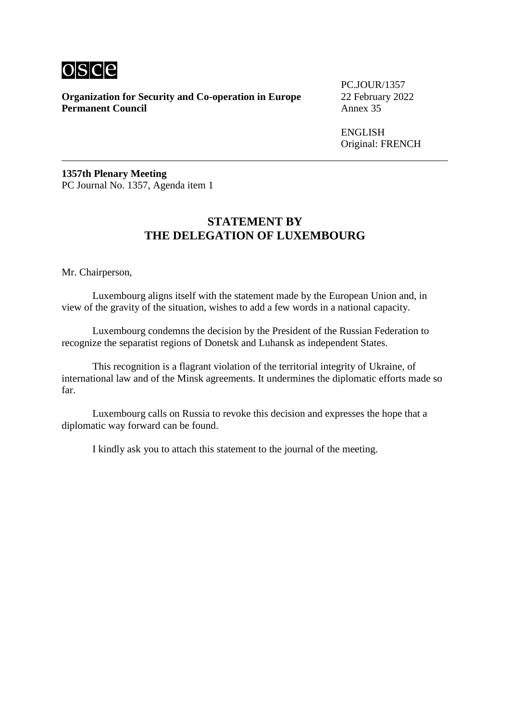

**Organization for Security and Co-operation in Europe** 22 February 2022<br>**Permanent Council** Annex 35 **Permanent Council** 

PC.JOUR/1357

**ENGLISH** Original: FRENCH

**1357th Plenary Meeting** PC Journal No. 1357, Agenda item 1

## **STATEMENT BY THE DELEGATION OF LUXEMBOURG**

Mr. Chairperson,

Luxembourg aligns itself with the statement made by the European Union and, in view of the gravity of the situation, wishes to add a few words in a national capacity.

Luxembourg condemns the decision by the President of the Russian Federation to recognize the separatist regions of Donetsk and Luhansk as independent States.

This recognition is a flagrant violation of the territorial integrity of Ukraine, of international law and of the Minsk agreements. It undermines the diplomatic efforts made so far.

Luxembourg calls on Russia to revoke this decision and expresses the hope that a diplomatic way forward can be found.

I kindly ask you to attach this statement to the journal of the meeting.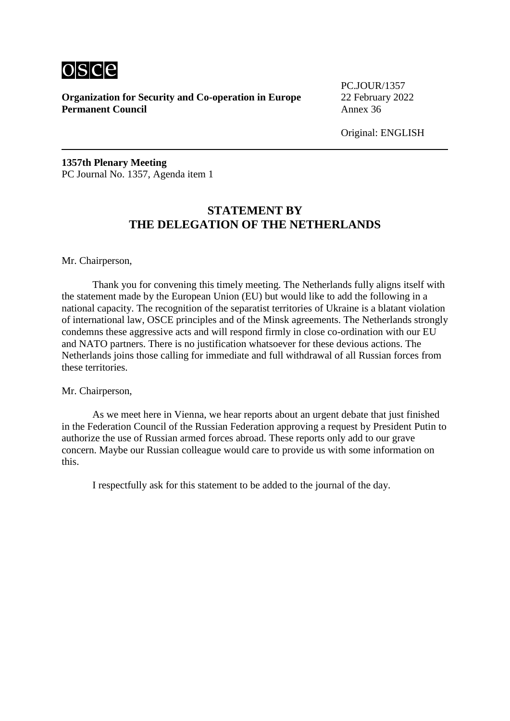

PC.JOUR/1357

Original: ENGLISH

**1357th Plenary Meeting** PC Journal No. 1357, Agenda item 1

## **STATEMENT BY THE DELEGATION OF THE NETHERLANDS**

#### Mr. Chairperson,

Thank you for convening this timely meeting. The Netherlands fully aligns itself with the statement made by the European Union (EU) but would like to add the following in a national capacity. The recognition of the separatist territories of Ukraine is a blatant violation of international law, OSCE principles and of the Minsk agreements. The Netherlands strongly condemns these aggressive acts and will respond firmly in close co-ordination with our EU and NATO partners. There is no justification whatsoever for these devious actions. The Netherlands joins those calling for immediate and full withdrawal of all Russian forces from these territories.

#### Mr. Chairperson,

As we meet here in Vienna, we hear reports about an urgent debate that just finished in the Federation Council of the Russian Federation approving a request by President Putin to authorize the use of Russian armed forces abroad. These reports only add to our grave concern. Maybe our Russian colleague would care to provide us with some information on this.

I respectfully ask for this statement to be added to the journal of the day.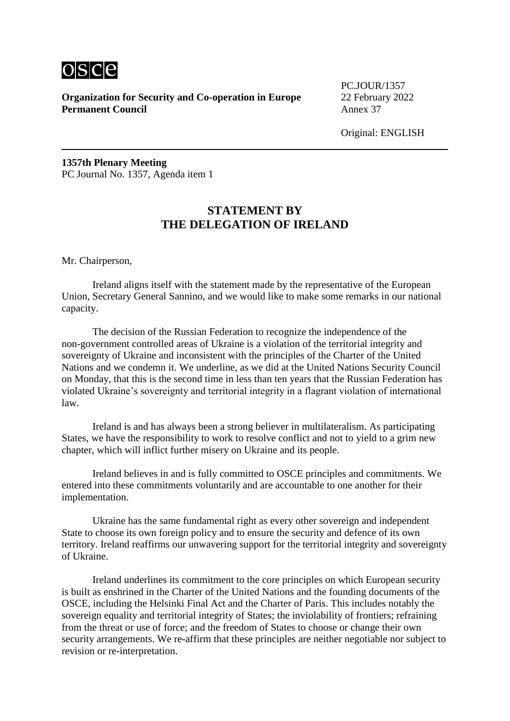

PC.JOUR/1357

Original: ENGLISH

**1357th Plenary Meeting** PC Journal No. 1357, Agenda item 1

## **STATEMENT BY THE DELEGATION OF IRELAND**

Mr. Chairperson,

Ireland aligns itself with the statement made by the representative of the European Union, Secretary General Sannino, and we would like to make some remarks in our national capacity.

The decision of the Russian Federation to recognize the independence of the non-government controlled areas of Ukraine is a violation of the territorial integrity and sovereignty of Ukraine and inconsistent with the principles of the Charter of the United Nations and we condemn it. We underline, as we did at the United Nations Security Council on Monday, that this is the second time in less than ten years that the Russian Federation has violated Ukraine's sovereignty and territorial integrity in a flagrant violation of international law.

Ireland is and has always been a strong believer in multilateralism. As participating States, we have the responsibility to work to resolve conflict and not to yield to a grim new chapter, which will inflict further misery on Ukraine and its people.

Ireland believes in and is fully committed to OSCE principles and commitments. We entered into these commitments voluntarily and are accountable to one another for their implementation.

Ukraine has the same fundamental right as every other sovereign and independent State to choose its own foreign policy and to ensure the security and defence of its own territory. Ireland reaffirms our unwavering support for the territorial integrity and sovereignty of Ukraine.

Ireland underlines its commitment to the core principles on which European security is built as enshrined in the Charter of the United Nations and the founding documents of the OSCE, including the Helsinki Final Act and the Charter of Paris. This includes notably the sovereign equality and territorial integrity of States; the inviolability of frontiers; refraining from the threat or use of force; and the freedom of States to choose or change their own security arrangements. We re-affirm that these principles are neither negotiable nor subject to revision or re-interpretation.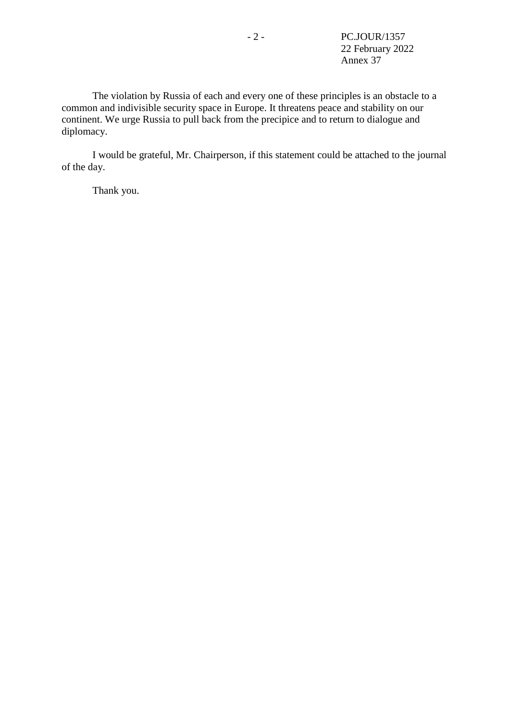The violation by Russia of each and every one of these principles is an obstacle to a common and indivisible security space in Europe. It threatens peace and stability on our continent. We urge Russia to pull back from the precipice and to return to dialogue and diplomacy.

I would be grateful, Mr. Chairperson, if this statement could be attached to the journal of the day.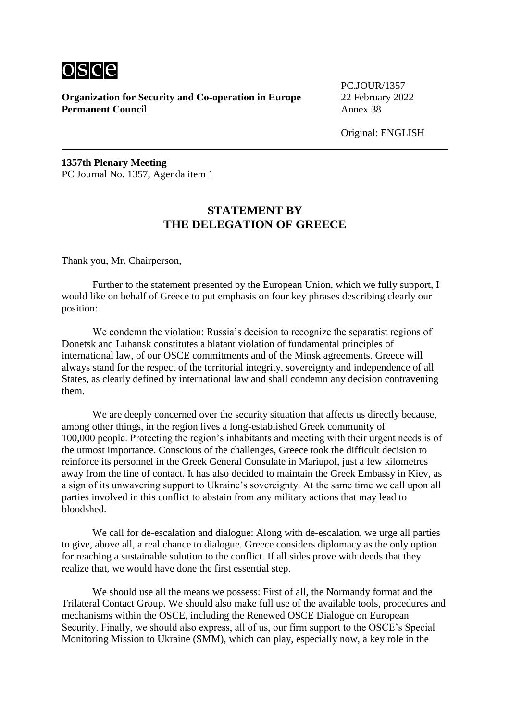

PC.JOUR/1357

Original: ENGLISH

**1357th Plenary Meeting** PC Journal No. 1357, Agenda item 1

## **STATEMENT BY THE DELEGATION OF GREECE**

Thank you, Mr. Chairperson,

Further to the statement presented by the European Union, which we fully support, I would like on behalf of Greece to put emphasis on four key phrases describing clearly our position:

We condemn the violation: Russia's decision to recognize the separatist regions of Donetsk and Luhansk constitutes a blatant violation of fundamental principles of international law, of our OSCE commitments and of the Minsk agreements. Greece will always stand for the respect of the territorial integrity, sovereignty and independence of all States, as clearly defined by international law and shall condemn any decision contravening them.

We are deeply concerned over the security situation that affects us directly because, among other things, in the region lives a long-established Greek community of 100,000 people. Protecting the region's inhabitants and meeting with their urgent needs is of the utmost importance. Conscious of the challenges, Greece took the difficult decision to reinforce its personnel in the Greek General Consulate in Mariupol, just a few kilometres away from the line of contact. It has also decided to maintain the Greek Embassy in Kiev, as a sign of its unwavering support to Ukraine's sovereignty. At the same time we call upon all parties involved in this conflict to abstain from any military actions that may lead to bloodshed.

We call for de-escalation and dialogue: Along with de-escalation, we urge all parties to give, above all, a real chance to dialogue. Greece considers diplomacy as the only option for reaching a sustainable solution to the conflict. If all sides prove with deeds that they realize that, we would have done the first essential step.

We should use all the means we possess: First of all, the Normandy format and the Trilateral Contact Group. We should also make full use of the available tools, procedures and mechanisms within the OSCE, including the Renewed OSCE Dialogue on European Security. Finally, we should also express, all of us, our firm support to the OSCE's Special Monitoring Mission to Ukraine (SMM), which can play, especially now, a key role in the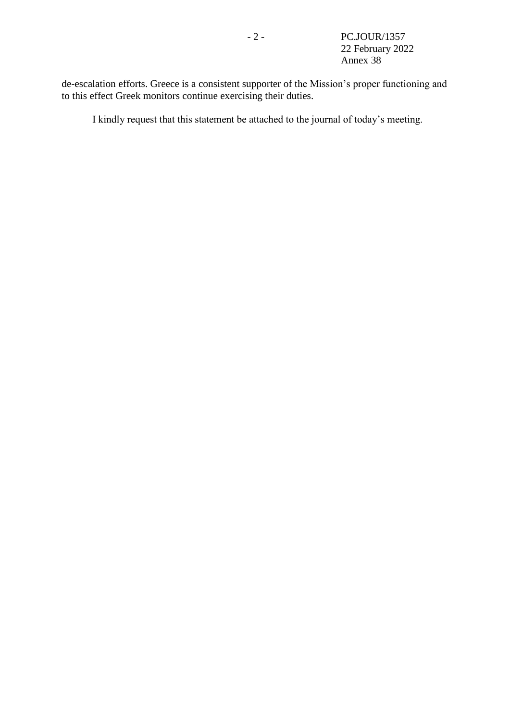de-escalation efforts. Greece is a consistent supporter of the Mission's proper functioning and to this effect Greek monitors continue exercising their duties.

I kindly request that this statement be attached to the journal of today's meeting.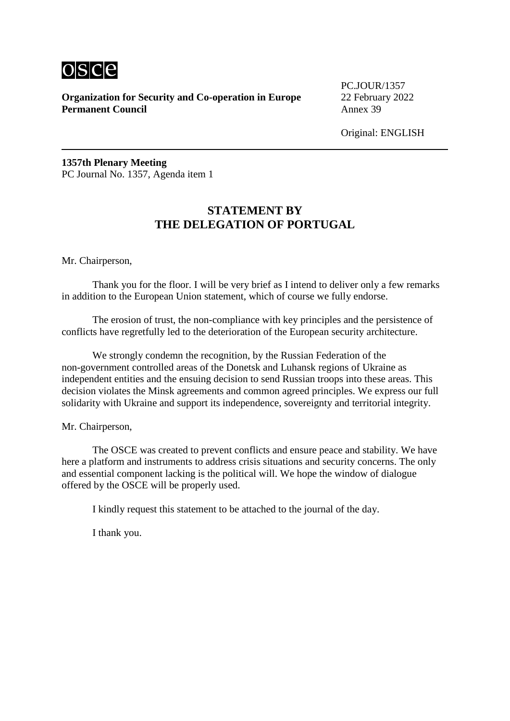

PC.JOUR/1357

Original: ENGLISH

**1357th Plenary Meeting** PC Journal No. 1357, Agenda item 1

## **STATEMENT BY THE DELEGATION OF PORTUGAL**

Mr. Chairperson,

Thank you for the floor. I will be very brief as I intend to deliver only a few remarks in addition to the European Union statement, which of course we fully endorse.

The erosion of trust, the non-compliance with key principles and the persistence of conflicts have regretfully led to the deterioration of the European security architecture.

We strongly condemn the recognition, by the Russian Federation of the non-government controlled areas of the Donetsk and Luhansk regions of Ukraine as independent entities and the ensuing decision to send Russian troops into these areas. This decision violates the Minsk agreements and common agreed principles. We express our full solidarity with Ukraine and support its independence, sovereignty and territorial integrity.

Mr. Chairperson,

The OSCE was created to prevent conflicts and ensure peace and stability. We have here a platform and instruments to address crisis situations and security concerns. The only and essential component lacking is the political will. We hope the window of dialogue offered by the OSCE will be properly used.

I kindly request this statement to be attached to the journal of the day.

I thank you.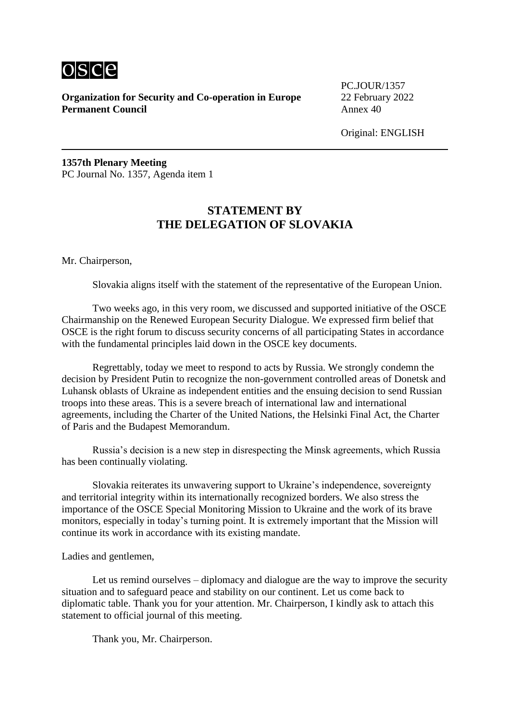

PC.JOUR/1357

Original: ENGLISH

**1357th Plenary Meeting** PC Journal No. 1357, Agenda item 1

## **STATEMENT BY THE DELEGATION OF SLOVAKIA**

Mr. Chairperson,

Slovakia aligns itself with the statement of the representative of the European Union.

Two weeks ago, in this very room, we discussed and supported initiative of the OSCE Chairmanship on the Renewed European Security Dialogue. We expressed firm belief that OSCE is the right forum to discuss security concerns of all participating States in accordance with the fundamental principles laid down in the OSCE key documents.

Regrettably, today we meet to respond to acts by Russia. We strongly condemn the decision by President Putin to recognize the non-government controlled areas of Donetsk and Luhansk oblasts of Ukraine as independent entities and the ensuing decision to send Russian troops into these areas. This is a severe breach of international law and international agreements, including the Charter of the United Nations, the Helsinki Final Act, the Charter of Paris and the Budapest Memorandum.

Russia's decision is a new step in disrespecting the Minsk agreements, which Russia has been continually violating.

Slovakia reiterates its unwavering support to Ukraine's independence, sovereignty and territorial integrity within its internationally recognized borders. We also stress the importance of the OSCE Special Monitoring Mission to Ukraine and the work of its brave monitors, especially in today's turning point. It is extremely important that the Mission will continue its work in accordance with its existing mandate.

Ladies and gentlemen,

Let us remind ourselves – diplomacy and dialogue are the way to improve the security situation and to safeguard peace and stability on our continent. Let us come back to diplomatic table. Thank you for your attention. Mr. Chairperson, I kindly ask to attach this statement to official journal of this meeting.

Thank you, Mr. Chairperson.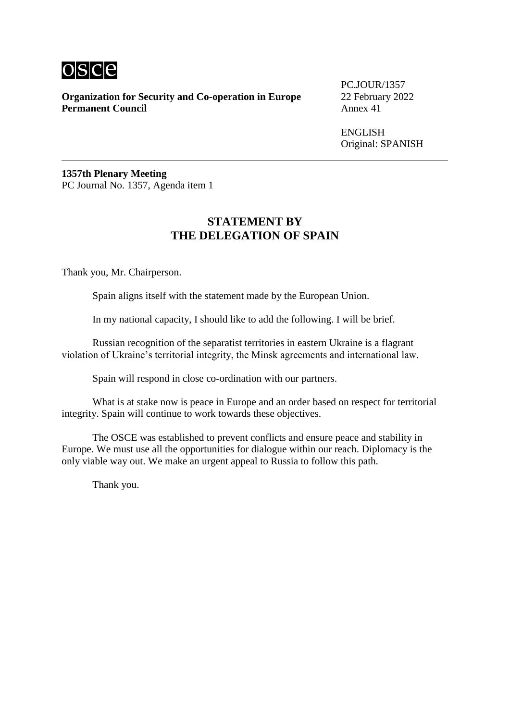

**Organization for Security and Co-operation in Europe** 22 February 2022<br>**Permanent Council** Annex 41 **Permanent Council** 

PC.JOUR/1357

ENGLISH Original: SPANISH

**1357th Plenary Meeting** PC Journal No. 1357, Agenda item 1

# **STATEMENT BY THE DELEGATION OF SPAIN**

Thank you, Mr. Chairperson.

Spain aligns itself with the statement made by the European Union.

In my national capacity, I should like to add the following. I will be brief.

Russian recognition of the separatist territories in eastern Ukraine is a flagrant violation of Ukraine's territorial integrity, the Minsk agreements and international law.

Spain will respond in close co-ordination with our partners.

What is at stake now is peace in Europe and an order based on respect for territorial integrity. Spain will continue to work towards these objectives.

The OSCE was established to prevent conflicts and ensure peace and stability in Europe. We must use all the opportunities for dialogue within our reach. Diplomacy is the only viable way out. We make an urgent appeal to Russia to follow this path.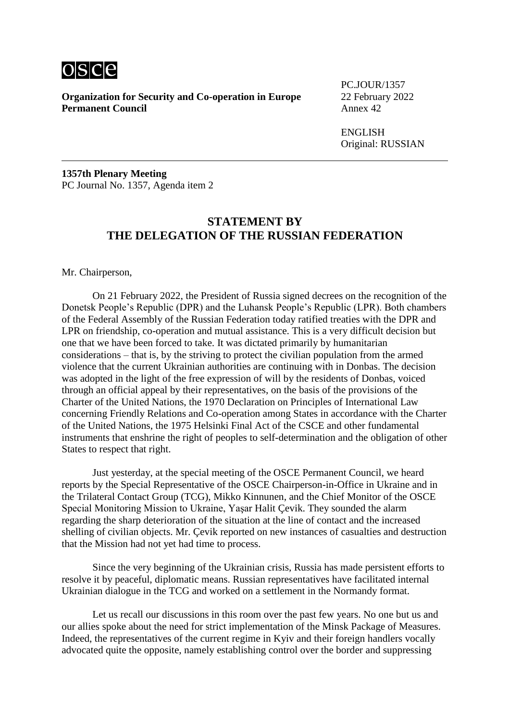

**Organization for Security and Co-operation in Europe** 22 February 2022<br>**Permanent Council** Annex 42 **Permanent Council** 

PC.JOUR/1357

ENGLISH Original: RUSSIAN

**1357th Plenary Meeting** PC Journal No. 1357, Agenda item 2

## **STATEMENT BY THE DELEGATION OF THE RUSSIAN FEDERATION**

Mr. Chairperson,

On 21 February 2022, the President of Russia signed decrees on the recognition of the Donetsk People's Republic (DPR) and the Luhansk People's Republic (LPR). Both chambers of the Federal Assembly of the Russian Federation today ratified treaties with the DPR and LPR on friendship, co-operation and mutual assistance. This is a very difficult decision but one that we have been forced to take. It was dictated primarily by humanitarian considerations – that is, by the striving to protect the civilian population from the armed violence that the current Ukrainian authorities are continuing with in Donbas. The decision was adopted in the light of the free expression of will by the residents of Donbas, voiced through an official appeal by their representatives, on the basis of the provisions of the Charter of the United Nations, the 1970 Declaration on Principles of International Law concerning Friendly Relations and Co-operation among States in accordance with the Charter of the United Nations, the 1975 Helsinki Final Act of the CSCE and other fundamental instruments that enshrine the right of peoples to self-determination and the obligation of other States to respect that right.

Just yesterday, at the special meeting of the OSCE Permanent Council, we heard reports by the Special Representative of the OSCE Chairperson-in-Office in Ukraine and in the Trilateral Contact Group (TCG), Mikko Kinnunen, and the Chief Monitor of the OSCE Special Monitoring Mission to Ukraine, Yaşar Halit Çevik. They sounded the alarm regarding the sharp deterioration of the situation at the line of contact and the increased shelling of civilian objects. Mr. Çevik reported on new instances of casualties and destruction that the Mission had not yet had time to process.

Since the very beginning of the Ukrainian crisis, Russia has made persistent efforts to resolve it by peaceful, diplomatic means. Russian representatives have facilitated internal Ukrainian dialogue in the TCG and worked on a settlement in the Normandy format.

Let us recall our discussions in this room over the past few years. No one but us and our allies spoke about the need for strict implementation of the Minsk Package of Measures. Indeed, the representatives of the current regime in Kyiv and their foreign handlers vocally advocated quite the opposite, namely establishing control over the border and suppressing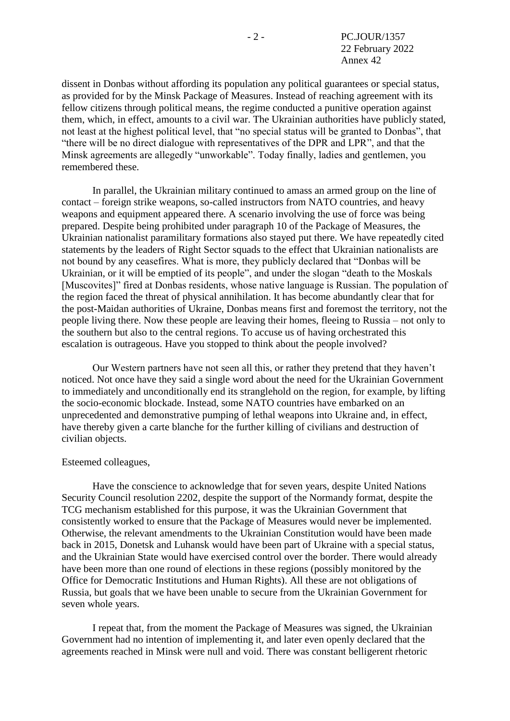dissent in Donbas without affording its population any political guarantees or special status, as provided for by the Minsk Package of Measures. Instead of reaching agreement with its fellow citizens through political means, the regime conducted a punitive operation against them, which, in effect, amounts to a civil war. The Ukrainian authorities have publicly stated, not least at the highest political level, that "no special status will be granted to Donbas", that "there will be no direct dialogue with representatives of the DPR and LPR", and that the Minsk agreements are allegedly "unworkable". Today finally, ladies and gentlemen, you remembered these.

In parallel, the Ukrainian military continued to amass an armed group on the line of contact – foreign strike weapons, so-called instructors from NATO countries, and heavy weapons and equipment appeared there. A scenario involving the use of force was being prepared. Despite being prohibited under paragraph 10 of the Package of Measures, the Ukrainian nationalist paramilitary formations also stayed put there. We have repeatedly cited statements by the leaders of Right Sector squads to the effect that Ukrainian nationalists are not bound by any ceasefires. What is more, they publicly declared that "Donbas will be Ukrainian, or it will be emptied of its people", and under the slogan "death to the Moskals [Muscovites]" fired at Donbas residents, whose native language is Russian. The population of the region faced the threat of physical annihilation. It has become abundantly clear that for the post-Maidan authorities of Ukraine, Donbas means first and foremost the territory, not the people living there. Now these people are leaving their homes, fleeing to Russia – not only to the southern but also to the central regions. To accuse us of having orchestrated this escalation is outrageous. Have you stopped to think about the people involved?

Our Western partners have not seen all this, or rather they pretend that they haven't noticed. Not once have they said a single word about the need for the Ukrainian Government to immediately and unconditionally end its stranglehold on the region, for example, by lifting the socio-economic blockade. Instead, some NATO countries have embarked on an unprecedented and demonstrative pumping of lethal weapons into Ukraine and, in effect, have thereby given a carte blanche for the further killing of civilians and destruction of civilian objects.

## Esteemed colleagues,

Have the conscience to acknowledge that for seven years, despite United Nations Security Council resolution 2202, despite the support of the Normandy format, despite the TCG mechanism established for this purpose, it was the Ukrainian Government that consistently worked to ensure that the Package of Measures would never be implemented. Otherwise, the relevant amendments to the Ukrainian Constitution would have been made back in 2015, Donetsk and Luhansk would have been part of Ukraine with a special status, and the Ukrainian State would have exercised control over the border. There would already have been more than one round of elections in these regions (possibly monitored by the Office for Democratic Institutions and Human Rights). All these are not obligations of Russia, but goals that we have been unable to secure from the Ukrainian Government for seven whole years.

I repeat that, from the moment the Package of Measures was signed, the Ukrainian Government had no intention of implementing it, and later even openly declared that the agreements reached in Minsk were null and void. There was constant belligerent rhetoric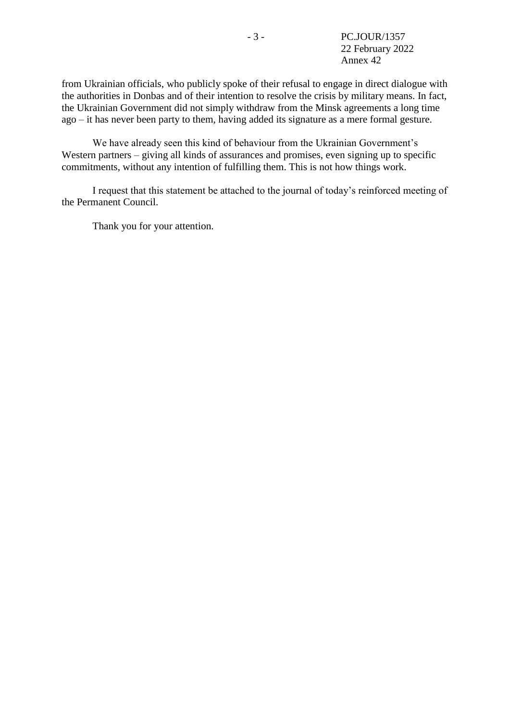from Ukrainian officials, who publicly spoke of their refusal to engage in direct dialogue with the authorities in Donbas and of their intention to resolve the crisis by military means. In fact, the Ukrainian Government did not simply withdraw from the Minsk agreements a long time ago – it has never been party to them, having added its signature as a mere formal gesture.

We have already seen this kind of behaviour from the Ukrainian Government's Western partners – giving all kinds of assurances and promises, even signing up to specific commitments, without any intention of fulfilling them. This is not how things work.

I request that this statement be attached to the journal of today's reinforced meeting of the Permanent Council.

Thank you for your attention.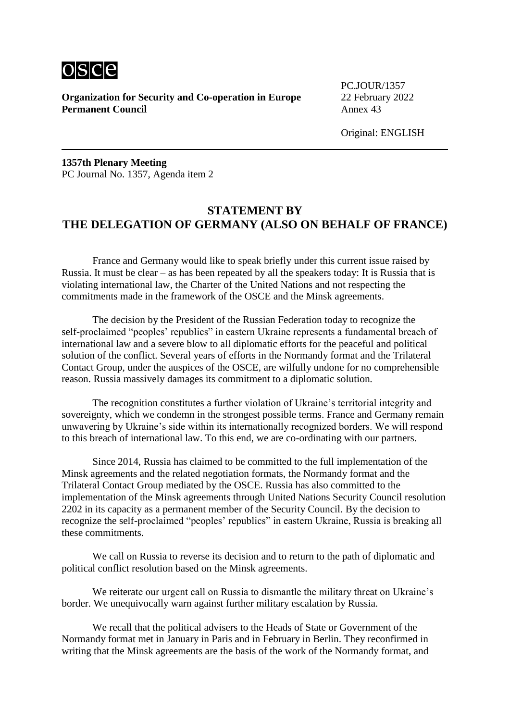

**Organization for Security and Co-operation in Europe** 22 February 2022 **Permanent Council** Annex 43

PC.JOUR/1357

Original: ENGLISH

**1357th Plenary Meeting** PC Journal No. 1357, Agenda item 2

## **STATEMENT BY THE DELEGATION OF GERMANY (ALSO ON BEHALF OF FRANCE)**

France and Germany would like to speak briefly under this current issue raised by Russia. It must be clear – as has been repeated by all the speakers today: It is Russia that is violating international law, the Charter of the United Nations and not respecting the commitments made in the framework of the OSCE and the Minsk agreements.

The decision by the President of the Russian Federation today to recognize the self-proclaimed "peoples' republics" in eastern Ukraine represents a fundamental breach of international law and a severe blow to all diplomatic efforts for the peaceful and political solution of the conflict. Several years of efforts in the Normandy format and the Trilateral Contact Group, under the auspices of the OSCE, are wilfully undone for no comprehensible reason. Russia massively damages its commitment to a diplomatic solution.

The recognition constitutes a further violation of Ukraine's territorial integrity and sovereignty, which we condemn in the strongest possible terms. France and Germany remain unwavering by Ukraine's side within its internationally recognized borders. We will respond to this breach of international law. To this end, we are co-ordinating with our partners.

Since 2014, Russia has claimed to be committed to the full implementation of the Minsk agreements and the related negotiation formats, the Normandy format and the Trilateral Contact Group mediated by the OSCE. Russia has also committed to the implementation of the Minsk agreements through United Nations Security Council resolution 2202 in its capacity as a permanent member of the Security Council. By the decision to recognize the self-proclaimed "peoples' republics" in eastern Ukraine, Russia is breaking all these commitments.

We call on Russia to reverse its decision and to return to the path of diplomatic and political conflict resolution based on the Minsk agreements.

We reiterate our urgent call on Russia to dismantle the military threat on Ukraine's border. We unequivocally warn against further military escalation by Russia.

We recall that the political advisers to the Heads of State or Government of the Normandy format met in January in Paris and in February in Berlin. They reconfirmed in writing that the Minsk agreements are the basis of the work of the Normandy format, and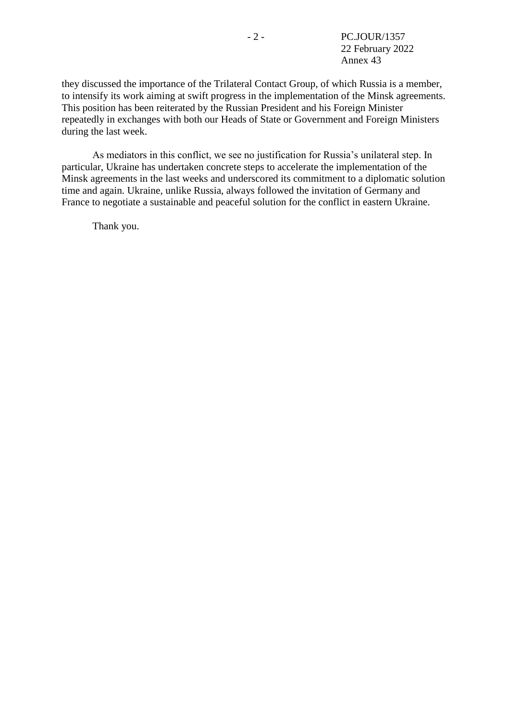they discussed the importance of the Trilateral Contact Group, of which Russia is a member, to intensify its work aiming at swift progress in the implementation of the Minsk agreements. This position has been reiterated by the Russian President and his Foreign Minister repeatedly in exchanges with both our Heads of State or Government and Foreign Ministers during the last week.

As mediators in this conflict, we see no justification for Russia's unilateral step. In particular, Ukraine has undertaken concrete steps to accelerate the implementation of the Minsk agreements in the last weeks and underscored its commitment to a diplomatic solution time and again. Ukraine, unlike Russia, always followed the invitation of Germany and France to negotiate a sustainable and peaceful solution for the conflict in eastern Ukraine.

Thank you.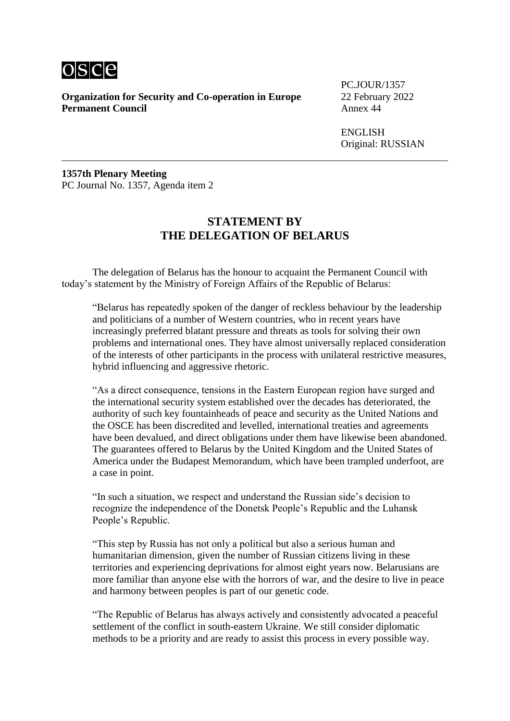

**Organization for Security and Co-operation in Europe** 22 February 2022 **Permanent Council** Annex 44

PC.JOUR/1357

ENGLISH Original: RUSSIAN

**1357th Plenary Meeting** PC Journal No. 1357, Agenda item 2

## **STATEMENT BY THE DELEGATION OF BELARUS**

The delegation of Belarus has the honour to acquaint the Permanent Council with today's statement by the Ministry of Foreign Affairs of the Republic of Belarus:

"Belarus has repeatedly spoken of the danger of reckless behaviour by the leadership and politicians of a number of Western countries, who in recent years have increasingly preferred blatant pressure and threats as tools for solving their own problems and international ones. They have almost universally replaced consideration of the interests of other participants in the process with unilateral restrictive measures, hybrid influencing and aggressive rhetoric.

"As a direct consequence, tensions in the Eastern European region have surged and the international security system established over the decades has deteriorated, the authority of such key fountainheads of peace and security as the United Nations and the OSCE has been discredited and levelled, international treaties and agreements have been devalued, and direct obligations under them have likewise been abandoned. The guarantees offered to Belarus by the United Kingdom and the United States of America under the Budapest Memorandum, which have been trampled underfoot, are a case in point.

"In such a situation, we respect and understand the Russian side's decision to recognize the independence of the Donetsk People's Republic and the Luhansk People's Republic.

"This step by Russia has not only a political but also a serious human and humanitarian dimension, given the number of Russian citizens living in these territories and experiencing deprivations for almost eight years now. Belarusians are more familiar than anyone else with the horrors of war, and the desire to live in peace and harmony between peoples is part of our genetic code.

"The Republic of Belarus has always actively and consistently advocated a peaceful settlement of the conflict in south-eastern Ukraine. We still consider diplomatic methods to be a priority and are ready to assist this process in every possible way.